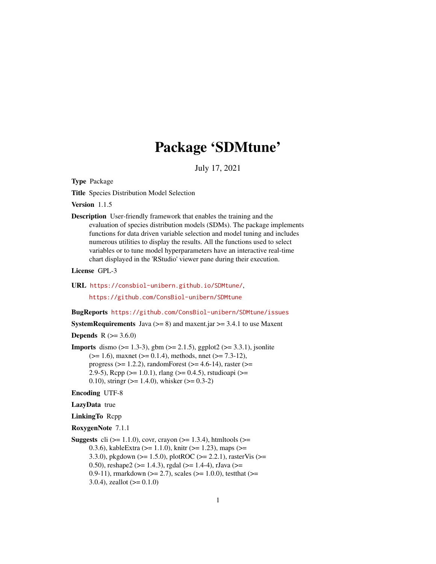# Package 'SDMtune'

July 17, 2021

<span id="page-0-0"></span>Type Package

Title Species Distribution Model Selection

Version 1.1.5

Description User-friendly framework that enables the training and the evaluation of species distribution models (SDMs). The package implements functions for data driven variable selection and model tuning and includes numerous utilities to display the results. All the functions used to select variables or to tune model hyperparameters have an interactive real-time chart displayed in the 'RStudio' viewer pane during their execution.

License GPL-3

URL <https://consbiol-unibern.github.io/SDMtune/>,

<https://github.com/ConsBiol-unibern/SDMtune>

BugReports <https://github.com/ConsBiol-unibern/SDMtune/issues>

**SystemRequirements** Java ( $>= 8$ ) and maxent.jar  $>= 3.4.1$  to use Maxent

**Depends**  $R$  ( $> = 3.6.0$ )

**Imports** dismo ( $>= 1.3-3$ ), gbm ( $>= 2.1.5$ ), ggplot2 ( $>= 3.3.1$ ), jsonlite  $(>= 1.6)$ , maxnet  $(>= 0.1.4)$ , methods, nnet  $(>= 7.3-12)$ , progress ( $>= 1.2.2$ ), randomForest ( $>= 4.6-14$ ), raster ( $>=$ 2.9-5), Rcpp ( $>= 1.0.1$ ), rlang ( $>= 0.4.5$ ), rstudioapi ( $>= 1.0$ 0.10), stringr  $(>= 1.4.0)$ , whisker  $(>= 0.3-2)$ 

Encoding UTF-8

### LazyData true

LinkingTo Rcpp

```
RoxygenNote 7.1.1
```

```
Suggests cli (>= 1.1.0), covr, crayon (>= 1.3.4), htmltools (>= 1.3.4)0.3.6), kableExtra (>= 1.1.0), knitr (>= 1.23), maps (>=
      3.3.0), pkgdown (>= 1.5.0), plotROC (>= 2.2.1), rasterVis (>=0.50), reshape2 (> = 1.4.3), rgdal (> = 1.4-4), rJava (> =0.9-11), rmarkdown (>= 2.7), scales (>= 1.0.0), testthat (>= 0.93.0.4), zeallot (>= 0.1.0)
```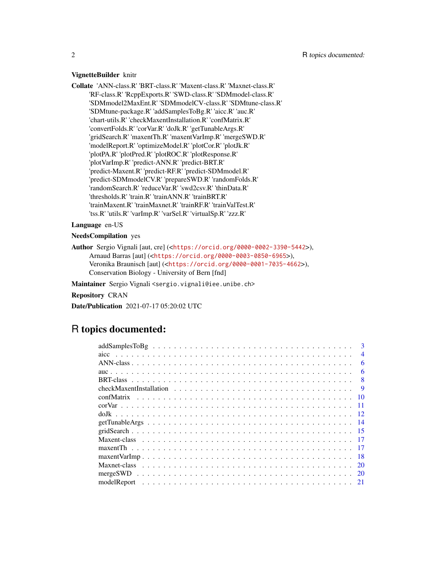#### VignetteBuilder knitr

Collate 'ANN-class.R' 'BRT-class.R' 'Maxent-class.R' 'Maxnet-class.R' 'RF-class.R' 'RcppExports.R' 'SWD-class.R' 'SDMmodel-class.R' 'SDMmodel2MaxEnt.R' 'SDMmodelCV-class.R' 'SDMtune-class.R' 'SDMtune-package.R' 'addSamplesToBg.R' 'aicc.R' 'auc.R' 'chart-utils.R' 'checkMaxentInstallation.R' 'confMatrix.R' 'convertFolds.R' 'corVar.R' 'doJk.R' 'getTunableArgs.R' 'gridSearch.R' 'maxentTh.R' 'maxentVarImp.R' 'mergeSWD.R' 'modelReport.R' 'optimizeModel.R' 'plotCor.R' 'plotJk.R' 'plotPA.R' 'plotPred.R' 'plotROC.R' 'plotResponse.R' 'plotVarImp.R' 'predict-ANN.R' 'predict-BRT.R' 'predict-Maxent.R' 'predict-RF.R' 'predict-SDMmodel.R' 'predict-SDMmodelCV.R' 'prepareSWD.R' 'randomFolds.R' 'randomSearch.R' 'reduceVar.R' 'swd2csv.R' 'thinData.R' 'thresholds.R' 'train.R' 'trainANN.R' 'trainBRT.R' 'trainMaxent.R' 'trainMaxnet.R' 'trainRF.R' 'trainValTest.R' 'tss.R' 'utils.R' 'varImp.R' 'varSel.R' 'virtualSp.R' 'zzz.R'

### Language en-US

NeedsCompilation yes

Author Sergio Vignali [aut, cre] (<<https://orcid.org/0000-0002-3390-5442>>), Arnaud Barras [aut] (<<https://orcid.org/0000-0003-0850-6965>>), Veronika Braunisch [aut] (<<https://orcid.org/0000-0001-7035-4662>>), Conservation Biology - University of Bern [fnd]

Maintainer Sergio Vignali <sergio.vignali@iee.unibe.ch>

Repository CRAN

Date/Publication 2021-07-17 05:20:02 UTC

## R topics documented:

| $\mathbf{3}$           |
|------------------------|
| aicc<br>$\overline{4}$ |
| 6                      |
| 6                      |
| 8                      |
| <b>9</b>               |
| confMatrix<br>-10      |
| -11                    |
|                        |
|                        |
|                        |
|                        |
|                        |
|                        |
|                        |
| <sup>20</sup>          |
|                        |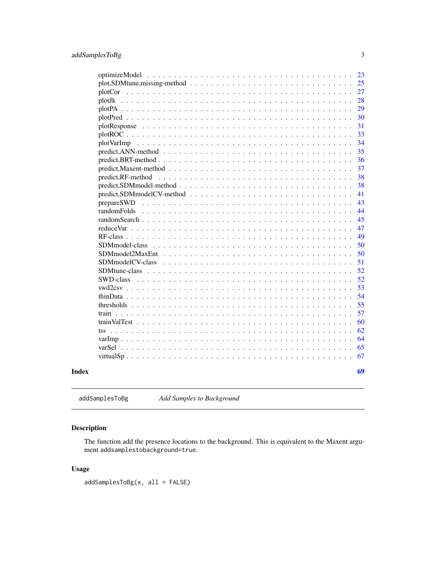<span id="page-2-0"></span>

|                                                                                                                 |  |  |  |  |  |  |  |  | 23 |
|-----------------------------------------------------------------------------------------------------------------|--|--|--|--|--|--|--|--|----|
|                                                                                                                 |  |  |  |  |  |  |  |  | 25 |
|                                                                                                                 |  |  |  |  |  |  |  |  | 27 |
|                                                                                                                 |  |  |  |  |  |  |  |  | 28 |
|                                                                                                                 |  |  |  |  |  |  |  |  | 29 |
|                                                                                                                 |  |  |  |  |  |  |  |  | 30 |
|                                                                                                                 |  |  |  |  |  |  |  |  | 31 |
|                                                                                                                 |  |  |  |  |  |  |  |  | 33 |
|                                                                                                                 |  |  |  |  |  |  |  |  | 34 |
|                                                                                                                 |  |  |  |  |  |  |  |  | 35 |
|                                                                                                                 |  |  |  |  |  |  |  |  | 36 |
| $predict, Maxent-method \dots \dots \dots \dots \dots \dots \dots \dots \dots \dots \dots \dots \dots \dots$    |  |  |  |  |  |  |  |  | 37 |
|                                                                                                                 |  |  |  |  |  |  |  |  | 38 |
| $predict, SDM model-method \dots \dots \dots \dots \dots \dots \dots \dots \dots \dots \dots \dots \dots \dots$ |  |  |  |  |  |  |  |  | 38 |
| $predict, SDM modelCV-method \dots \dots \dots \dots \dots \dots \dots \dots \dots \dots \dots \dots \dots$     |  |  |  |  |  |  |  |  | 41 |
| prepareSWD                                                                                                      |  |  |  |  |  |  |  |  | 43 |
|                                                                                                                 |  |  |  |  |  |  |  |  | 44 |
|                                                                                                                 |  |  |  |  |  |  |  |  | 45 |
|                                                                                                                 |  |  |  |  |  |  |  |  | 47 |
|                                                                                                                 |  |  |  |  |  |  |  |  | 49 |
| SDMmodel-class                                                                                                  |  |  |  |  |  |  |  |  | 50 |
|                                                                                                                 |  |  |  |  |  |  |  |  | 50 |
| SDMmodelCV-class                                                                                                |  |  |  |  |  |  |  |  | 51 |
|                                                                                                                 |  |  |  |  |  |  |  |  | 52 |
| <b>SWD-class</b>                                                                                                |  |  |  |  |  |  |  |  | 52 |
|                                                                                                                 |  |  |  |  |  |  |  |  | 53 |
|                                                                                                                 |  |  |  |  |  |  |  |  | 54 |
|                                                                                                                 |  |  |  |  |  |  |  |  | 55 |
|                                                                                                                 |  |  |  |  |  |  |  |  | 57 |
|                                                                                                                 |  |  |  |  |  |  |  |  | 60 |
|                                                                                                                 |  |  |  |  |  |  |  |  | 62 |
|                                                                                                                 |  |  |  |  |  |  |  |  | 64 |
|                                                                                                                 |  |  |  |  |  |  |  |  | 65 |
|                                                                                                                 |  |  |  |  |  |  |  |  | 67 |
|                                                                                                                 |  |  |  |  |  |  |  |  |    |
|                                                                                                                 |  |  |  |  |  |  |  |  | 69 |
|                                                                                                                 |  |  |  |  |  |  |  |  |    |

<span id="page-2-1"></span>addSamplesToBg *Add Samples to Background*

### Description

The function add the presence locations to the background. This is equivalent to the Maxent argument addsamplestobackground=true.

### Usage

addSamplesToBg(x, all = FALSE)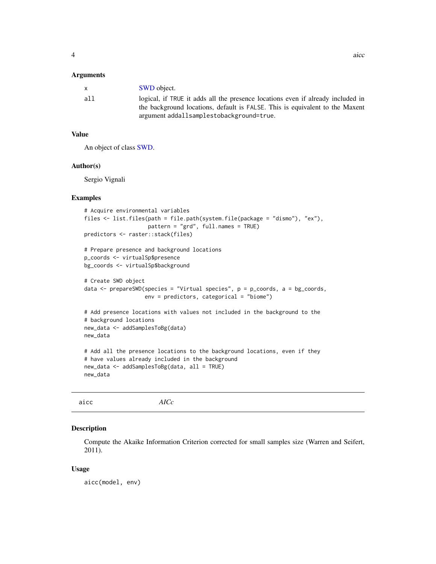#### <span id="page-3-0"></span>**Arguments**

| $\mathsf{x}$ | <b>SWD</b> object.                                                                                                                                              |
|--------------|-----------------------------------------------------------------------------------------------------------------------------------------------------------------|
| all          | logical, if TRUE it adds all the presence locations even if already included in<br>the background locations, default is FALSE. This is equivalent to the Maxent |
|              | argument addallsamplestobackground=true.                                                                                                                        |

### Value

An object of class [SWD.](#page-51-1)

#### Author(s)

Sergio Vignali

### Examples

```
# Acquire environmental variables
files <- list.files(path = file.path(system.file(package = "dismo"), "ex"),
                    pattern = "grd", full.names = TRUE)
predictors <- raster::stack(files)
# Prepare presence and background locations
p_coords <- virtualSp$presence
bg_coords <- virtualSp$background
# Create SWD object
data <- prepareSWD(species = "Virtual species", p = p_coords, a = bg_coords,
                   env = predictors, categorical = "biome")
# Add presence locations with values not included in the background to the
# background locations
new_data <- addSamplesToBg(data)
new_data
# Add all the presence locations to the background locations, even if they
# have values already included in the background
new_data <- addSamplesToBg(data, all = TRUE)
new_data
```
<span id="page-3-1"></span>

| aicc | AICc |  |  |
|------|------|--|--|
|------|------|--|--|

### Description

Compute the Akaike Information Criterion corrected for small samples size (Warren and Seifert, 2011).

#### Usage

aicc(model, env)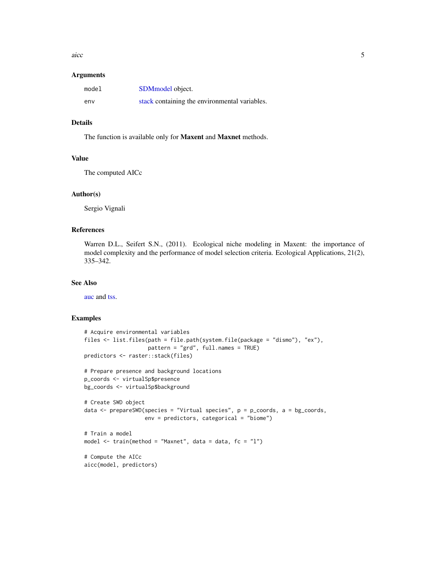<span id="page-4-0"></span>aicc 5 and 5 and 5 and 5 and 5 and 5 and 5 and 5 and 5 and 5 and 5 and 5 and 5 and 5 and 5 and 5 and 5 and 5 and 5 and 5 and 5 and 5 and 5 and 5 and 5 and 5 and 5 and 5 and 5 and 5 and 5 and 5 and 5 and 5 and 5 and 5 and 5

#### **Arguments**

| model | SDM model object.                             |
|-------|-----------------------------------------------|
| env   | stack containing the environmental variables. |

### Details

The function is available only for Maxent and Maxnet methods.

### Value

The computed AICc

#### Author(s)

Sergio Vignali

### References

Warren D.L., Seifert S.N., (2011). Ecological niche modeling in Maxent: the importance of model complexity and the performance of model selection criteria. Ecological Applications, 21(2), 335–342.

#### See Also

[auc](#page-5-1) and [tss.](#page-61-1)

```
# Acquire environmental variables
files <- list.files(path = file.path(system.file(package = "dismo"), "ex"),
                    pattern = "grd", full.names = TRUE)
predictors <- raster::stack(files)
# Prepare presence and background locations
p_coords <- virtualSp$presence
bg_coords <- virtualSp$background
# Create SWD object
data <- prepareSWD(species = "Virtual species", p = p_coords, a = bg_coords,
                  env = predictors, categorical = "biome")
# Train a model
model \le train(method = "Maxnet", data = data, fc = "l")
# Compute the AICc
aicc(model, predictors)
```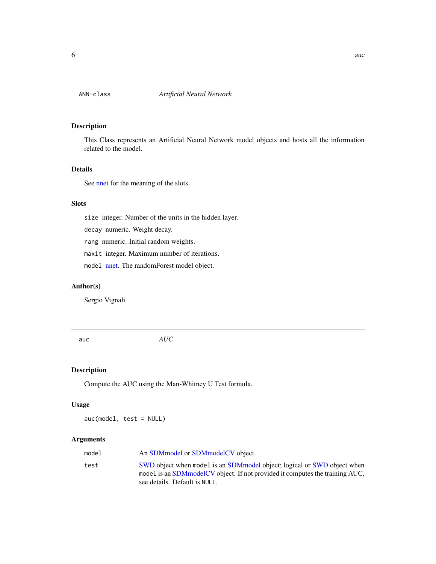<span id="page-5-2"></span><span id="page-5-0"></span>

### Description

This Class represents an Artificial Neural Network model objects and hosts all the information related to the model.

### Details

See [nnet](#page-0-0) for the meaning of the slots.

### Slots

size integer. Number of the units in the hidden layer.

decay numeric. Weight decay.

rang numeric. Initial random weights.

maxit integer. Maximum number of iterations.

model [nnet.](#page-0-0) The randomForest model object.

### Author(s)

Sergio Vignali

<span id="page-5-1"></span>auc *AUC*

#### Description

Compute the AUC using the Man-Whitney U Test formula.

### Usage

auc(model, test = NULL)

### Arguments

| model | An SDM model or SDM model CV object.                                                                                                                       |
|-------|------------------------------------------------------------------------------------------------------------------------------------------------------------|
| test  | SWD object when model is an SDM model object; logical or SWD object when<br>model is an SDM model CV object. If not provided it computes the training AUC, |
|       | see details. Default is NULL.                                                                                                                              |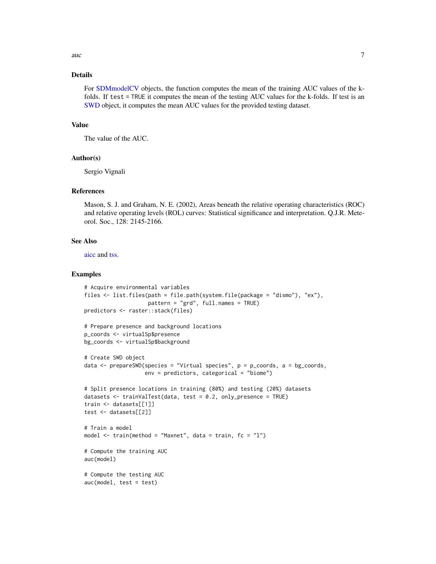<span id="page-6-0"></span>auch  $\sim$  7

### Details

For [SDMmodelCV](#page-50-1) objects, the function computes the mean of the training AUC values of the kfolds. If test = TRUE it computes the mean of the testing AUC values for the k-folds. If test is an [SWD](#page-51-1) object, it computes the mean AUC values for the provided testing dataset.

### Value

The value of the AUC.

#### Author(s)

Sergio Vignali

#### References

Mason, S. J. and Graham, N. E. (2002), Areas beneath the relative operating characteristics (ROC) and relative operating levels (ROL) curves: Statistical significance and interpretation. Q.J.R. Meteorol. Soc., 128: 2145-2166.

#### See Also

[aicc](#page-3-1) and [tss.](#page-61-1)

```
# Acquire environmental variables
files <- list.files(path = file.path(system.file(package = "dismo"), "ex"),
                    pattern = "grd", full.names = TRUE)
predictors <- raster::stack(files)
# Prepare presence and background locations
p_coords <- virtualSp$presence
bg_coords <- virtualSp$background
# Create SWD object
data \leq prepareSWD(species = "Virtual species", p = p\_{\text{coordinates}}, a = bg_coords,
                   env = predictors, categorical = "biome")
# Split presence locations in training (80%) and testing (20%) datasets
datasets <- trainValTest(data, test = 0.2, only_presence = TRUE)
train <- datasets[[1]]
test <- datasets[[2]]
# Train a model
model <- train(method = "Maxnet", data = train, fc = "l")
# Compute the training AUC
auc(model)
# Compute the testing AUC
auc(model, test = test)
```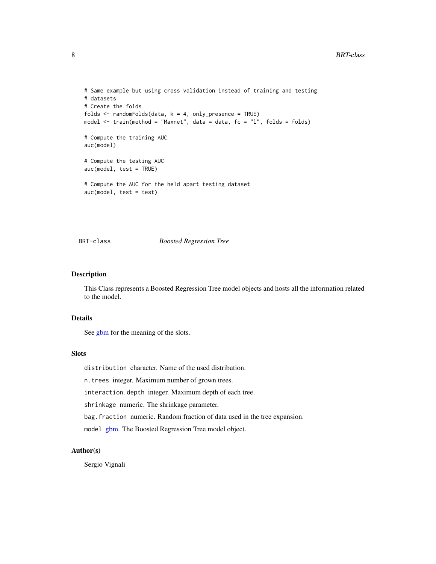```
# Same example but using cross validation instead of training and testing
# datasets
# Create the folds
folds \leq randomFolds(data, k = 4, only_presence = TRUE)
model <- train(method = "Maxnet", data = data, fc = "l", folds = folds)
# Compute the training AUC
auc(model)
# Compute the testing AUC
auc(model, test = TRUE)
# Compute the AUC for the held apart testing dataset
auc(model, test = test)
```
<span id="page-7-1"></span>

#### BRT-class *Boosted Regression Tree*

### Description

This Class represents a Boosted Regression Tree model objects and hosts all the information related to the model.

### Details

See [gbm](#page-0-0) for the meaning of the slots.

#### Slots

distribution character. Name of the used distribution.

n.trees integer. Maximum number of grown trees.

interaction.depth integer. Maximum depth of each tree.

shrinkage numeric. The shrinkage parameter.

bag.fraction numeric. Random fraction of data used in the tree expansion.

model [gbm.](#page-0-0) The Boosted Regression Tree model object.

### Author(s)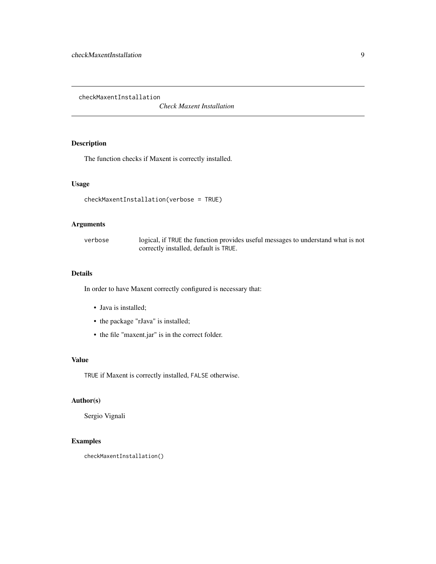<span id="page-8-0"></span>checkMaxentInstallation

*Check Maxent Installation*

### Description

The function checks if Maxent is correctly installed.

### Usage

```
checkMaxentInstallation(verbose = TRUE)
```
### Arguments

verbose logical, if TRUE the function provides useful messages to understand what is not correctly installed, default is TRUE.

### Details

In order to have Maxent correctly configured is necessary that:

- Java is installed;
- the package "rJava" is installed;
- the file "maxent.jar" is in the correct folder.

### Value

TRUE if Maxent is correctly installed, FALSE otherwise.

### Author(s)

Sergio Vignali

```
checkMaxentInstallation()
```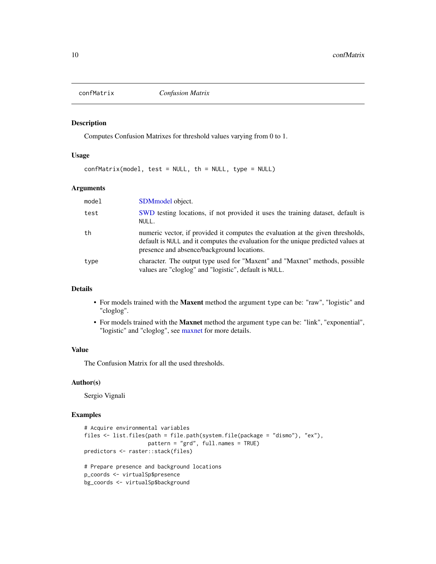<span id="page-9-0"></span>

#### Description

Computes Confusion Matrixes for threshold values varying from 0 to 1.

### Usage

```
confMatrix(model, test = NULL, th = NULL, type = NULL)
```
### Arguments

| model | SDM <sub>model</sub> object.                                                                                                                                                                                       |
|-------|--------------------------------------------------------------------------------------------------------------------------------------------------------------------------------------------------------------------|
| test  | SWD testing locations, if not provided it uses the training dataset, default is<br>NULL.                                                                                                                           |
| th    | numeric vector, if provided it computes the evaluation at the given thresholds,<br>default is NULL and it computes the evaluation for the unique predicted values at<br>presence and absence/background locations. |
| type  | character. The output type used for "Maxent" and "Maxnet" methods, possible<br>values are "cloglog" and "logistic", default is NULL.                                                                               |

### Details

- For models trained with the Maxent method the argument type can be: "raw", "logistic" and "cloglog".
- For models trained with the Maxnet method the argument type can be: "link", "exponential", "logistic" and "cloglog", see [maxnet](#page-0-0) for more details.

### Value

The Confusion Matrix for all the used thresholds.

### Author(s)

Sergio Vignali

```
# Acquire environmental variables
files <- list.files(path = file.path(system.file(package = "dismo"), "ex"),
                    pattern = "grd", full.names = TRUE)
predictors <- raster::stack(files)
# Prepare presence and background locations
p_coords <- virtualSp$presence
bg_coords <- virtualSp$background
```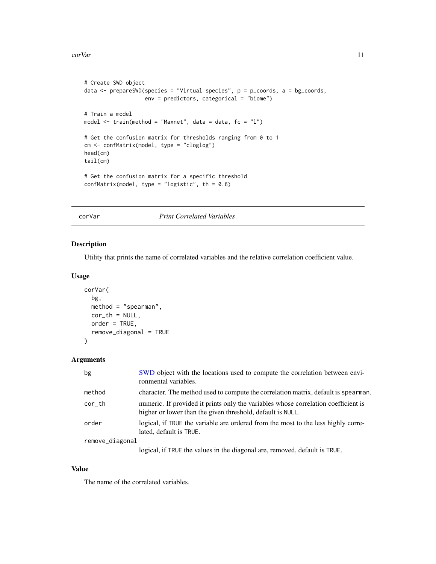#### <span id="page-10-0"></span>corVar 2008 and 2008 and 2008 and 2008 and 2008 and 2008 and 2008 and 2008 and 2008 and 2008 and 2008 and 2008 and 2008 and 2008 and 2008 and 2008 and 2008 and 2008 and 2008 and 2008 and 2008 and 2008 and 2008 and 2008 and

```
# Create SWD object
data <- prepareSWD(species = "Virtual species", p = p_coords, a = bg_coords,
                  env = predictors, categorical = "biome")
# Train a model
model <- train(method = "Maxnet", data = data, fc = "l")
# Get the confusion matrix for thresholds ranging from 0 to 1
cm <- confMatrix(model, type = "cloglog")
head(cm)
tail(cm)
# Get the confusion matrix for a specific threshold
confMatrix(model, type = "logistic", th = 0.6)
```
corVar *Print Correlated Variables*

### Description

Utility that prints the name of correlated variables and the relative correlation coefficient value.

#### Usage

```
corVar(
  bg,
  method = "spearman",
  cor_th = NULL,order = TRUE,
  remove_diagonal = TRUE
\mathcal{L}
```
### Arguments

| bg              | SWD object with the locations used to compute the correlation between envi-<br>ronmental variables.                                              |
|-----------------|--------------------------------------------------------------------------------------------------------------------------------------------------|
| method          | character. The method used to compute the correlation matrix, default is spearman.                                                               |
| cor_th          | numeric. If provided it prints only the variables whose correlation coefficient is<br>higher or lower than the given threshold, default is NULL. |
| order           | logical, if TRUE the variable are ordered from the most to the less highly corre-<br>lated, default is TRUE.                                     |
| remove_diagonal |                                                                                                                                                  |
|                 | logical, if TRUE the values in the diagonal are, removed, default is TRUE.                                                                       |

### Value

The name of the correlated variables.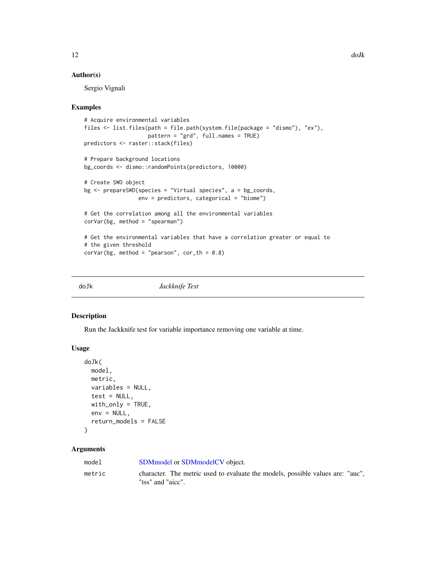#### <span id="page-11-0"></span>Author(s)

Sergio Vignali

#### Examples

```
# Acquire environmental variables
files <- list.files(path = file.path(system.file(package = "dismo"), "ex"),
                    pattern = "grd", full.names = TRUE)
predictors <- raster::stack(files)
# Prepare background locations
bg_coords <- dismo::randomPoints(predictors, 10000)
# Create SWD object
bg <- prepareSWD(species = "Virtual species", a = bg_coords,
                 env = predictors, categorical = "biome")
# Get the correlation among all the environmental variables
corVar(bg, method = "spearman")
# Get the environmental variables that have a correlation greater or equal to
# the given threshold
corVar(bg, method = "pearson", cor_th = 0.8)
```
<span id="page-11-1"></span>doJk *Jackknife Test*

#### Description

Run the Jackknife test for variable importance removing one variable at time.

### Usage

```
doJk(
 model,
 metric,
 variables = NULL,
  test = NULL,
 with_only = TRUE,
  env = NULL,
  return_models = FALSE
)
```
### Arguments

| model  | SDM model or SDM model CV object.                                                                   |
|--------|-----------------------------------------------------------------------------------------------------|
| metric | character. The metric used to evaluate the models, possible values are: "auc",<br>"tss" and "aicc". |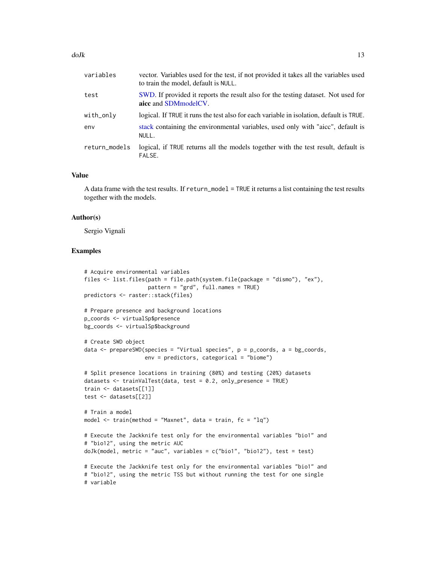<span id="page-12-0"></span>

| variables     | vector. Variables used for the test, if not provided it takes all the variables used<br>to train the model, default is NULL. |
|---------------|------------------------------------------------------------------------------------------------------------------------------|
| test          | SWD. If provided it reports the result also for the testing dataset. Not used for<br>aicc and SDM model CV.                  |
| with_only     | logical. If TRUE it runs the test also for each variable in isolation, default is TRUE.                                      |
| env           | stack containing the environmental variables, used only with "aicc", default is<br>NULL.                                     |
| return_models | logical, if TRUE returns all the models together with the test result, default is<br>FALSE.                                  |

### Value

A data frame with the test results. If return\_model = TRUE it returns a list containing the test results together with the models.

#### Author(s)

Sergio Vignali

```
# Acquire environmental variables
files <- list.files(path = file.path(system.file(package = "dismo"), "ex"),
                    pattern = "grd", full.names = TRUE)
predictors <- raster::stack(files)
# Prepare presence and background locations
p_coords <- virtualSp$presence
bg_coords <- virtualSp$background
# Create SWD object
data \leq prepareSWD(species = "Virtual species", p = p_coords, a = bg_coords,
                   env = predictors, categorical = "biome")
# Split presence locations in training (80%) and testing (20%) datasets
datasets <- trainValTest(data, test = 0.2, only_presence = TRUE)
train <- datasets[[1]]
test <- datasets[[2]]
# Train a model
model \le train(method = "Maxnet", data = train, fc = "lq")
# Execute the Jackknife test only for the environmental variables "bio1" and
# "bio12", using the metric AUC
doJk(model, metric = "auc", variables = c("bio1", "bio12"), test = test)
# Execute the Jackknife test only for the environmental variables "bio1" and
# "bio12", using the metric TSS but without running the test for one single
# variable
```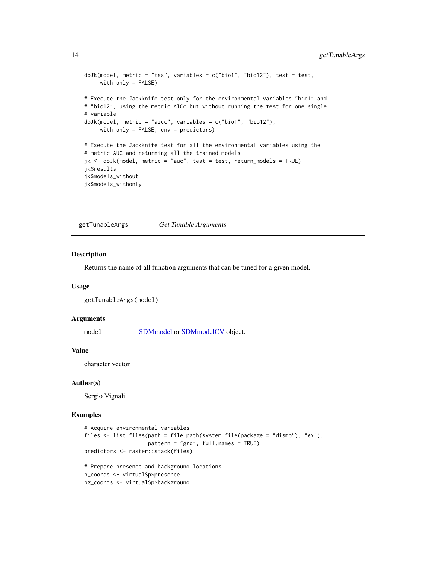```
doJk(model, metric = "tss", variables = c("bio1", "bio12"), test = test,
     with_only = FALSE)
# Execute the Jackknife test only for the environmental variables "bio1" and
# "bio12", using the metric AICc but without running the test for one single
# variable
doJk(model, metric = "aicc", variables = c("bio1", "bio12"),
     with_only = FALSE, env = predictors)
# Execute the Jackknife test for all the environmental variables using the
# metric AUC and returning all the trained models
jk <- doJk(model, metric = "auc", test = test, return_models = TRUE)
jk$results
jk$models_without
jk$models_withonly
```
<span id="page-13-1"></span>getTunableArgs *Get Tunable Arguments*

### Description

Returns the name of all function arguments that can be tuned for a given model.

#### Usage

```
getTunableArgs(model)
```
#### Arguments

model [SDMmodel](#page-49-1) or [SDMmodelCV](#page-50-1) object.

### Value

character vector.

#### Author(s)

Sergio Vignali

#### Examples

```
# Acquire environmental variables
files <- list.files(path = file.path(system.file(package = "dismo"), "ex"),
                    pattern = "grd", full.names = TRUE)
predictors <- raster::stack(files)
# Prepare presence and background locations
```
p\_coords <- virtualSp\$presence bg\_coords <- virtualSp\$background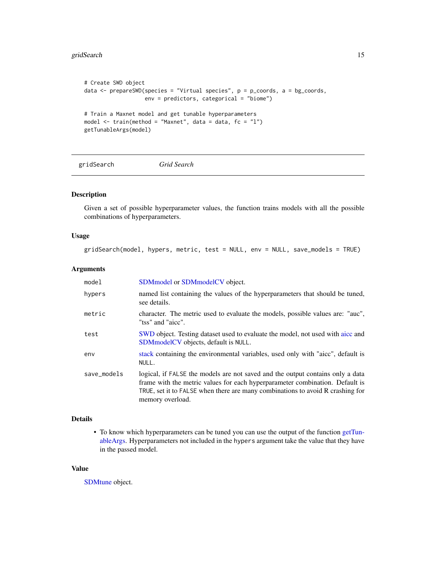### <span id="page-14-0"></span>gridSearch 15

```
# Create SWD object
data <- prepareSWD(species = "Virtual species", p = p_coords, a = bg_coords,
                   env = predictors, categorical = "biome")
# Train a Maxnet model and get tunable hyperparameters
model \le train(method = "Maxnet", data = data, fc = "l")
getTunableArgs(model)
```
<span id="page-14-1"></span>gridSearch *Grid Search*

### Description

Given a set of possible hyperparameter values, the function trains models with all the possible combinations of hyperparameters.

### Usage

gridSearch(model, hypers, metric, test = NULL, env = NULL, save\_models = TRUE)

#### Arguments

| model       | SDMmodel or SDMmodelCV object.                                                                                                                                                                                                                                       |
|-------------|----------------------------------------------------------------------------------------------------------------------------------------------------------------------------------------------------------------------------------------------------------------------|
| hypers      | named list containing the values of the hyperparameters that should be tuned,<br>see details.                                                                                                                                                                        |
| metric      | character. The metric used to evaluate the models, possible values are: "auc",<br>"tss" and "aicc".                                                                                                                                                                  |
| test        | SWD object. Testing dataset used to evaluate the model, not used with aicc and<br>SDMmodelCV objects, default is NULL.                                                                                                                                               |
| env         | stack containing the environmental variables, used only with "aicc", default is<br>NULL.                                                                                                                                                                             |
| save_models | logical, if FALSE the models are not saved and the output contains only a data<br>frame with the metric values for each hyperparameter combination. Default is<br>TRUE, set it to FALSE when there are many combinations to avoid R crashing for<br>memory overload. |

### Details

• To know which hyperparameters can be tuned you can use the output of the function [getTun](#page-13-1)[ableArgs.](#page-13-1) Hyperparameters not included in the hypers argument take the value that they have in the passed model.

#### Value

[SDMtune](#page-51-2) object.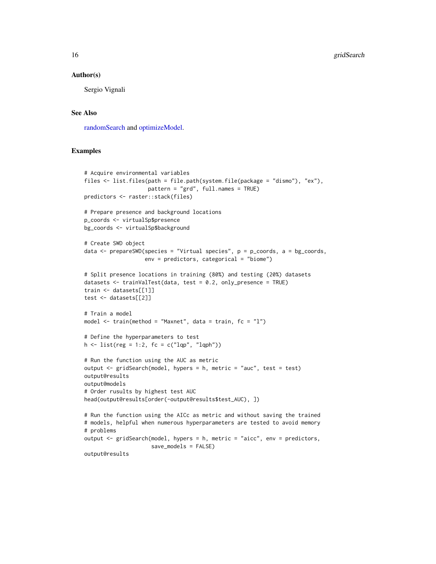#### <span id="page-15-0"></span>Author(s)

Sergio Vignali

### See Also

[randomSearch](#page-44-1) and [optimizeModel.](#page-22-1)

```
# Acquire environmental variables
files <- list.files(path = file.path(system.file(package = "dismo"), "ex"),
                    pattern = "grd", full.names = TRUE)
predictors <- raster::stack(files)
# Prepare presence and background locations
p_coords <- virtualSp$presence
bg_coords <- virtualSp$background
# Create SWD object
data \leq prepareSWD(species = "Virtual species", p = p\_{\text{coordinates}}, a = bg_coords,
                   env = predictors, categorical = "biome")
# Split presence locations in training (80%) and testing (20%) datasets
datasets <- trainValTest(data, test = 0.2, only_presence = TRUE)
train <- datasets[[1]]
test <- datasets[[2]]
# Train a model
model <- train(method = "Maxnet", data = train, fc = "l")
# Define the hyperparameters to test
h \leq 1ist(reg = 1:2, fc = c("lqp", "lqph"))
# Run the function using the AUC as metric
output <- gridSearch(model, hypers = h, metric = "auc", test = test)
output@results
output@models
# Order rusults by highest test AUC
head(output@results[order(-output@results$test_AUC), ])
# Run the function using the AICc as metric and without saving the trained
# models, helpful when numerous hyperparameters are tested to avoid memory
# problems
output <- gridSearch(model, hypers = h, metric = "aicc", env = predictors,
                     save_models = FALSE)
output@results
```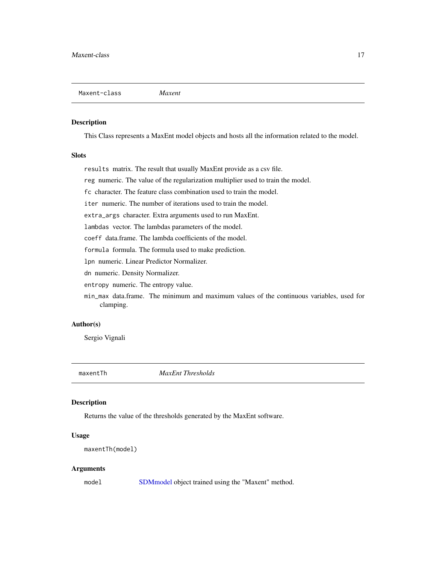#### <span id="page-16-2"></span><span id="page-16-0"></span>Description

This Class represents a MaxEnt model objects and hosts all the information related to the model.

### **Slots**

results matrix. The result that usually MaxEnt provide as a csv file.

reg numeric. The value of the regularization multiplier used to train the model.

fc character. The feature class combination used to train the model.

iter numeric. The number of iterations used to train the model.

extra\_args character. Extra arguments used to run MaxEnt.

lambdas vector. The lambdas parameters of the model.

coeff data.frame. The lambda coefficients of the model.

formula formula. The formula used to make prediction.

lpn numeric. Linear Predictor Normalizer.

dn numeric. Density Normalizer.

entropy numeric. The entropy value.

min\_max data.frame. The minimum and maximum values of the continuous variables, used for clamping.

### Author(s)

Sergio Vignali

<span id="page-16-1"></span>maxentTh *MaxEnt Thresholds*

#### Description

Returns the value of the thresholds generated by the MaxEnt software.

#### Usage

```
maxentTh(model)
```
#### Arguments

model [SDMmodel](#page-49-1) object trained using the "Maxent" method.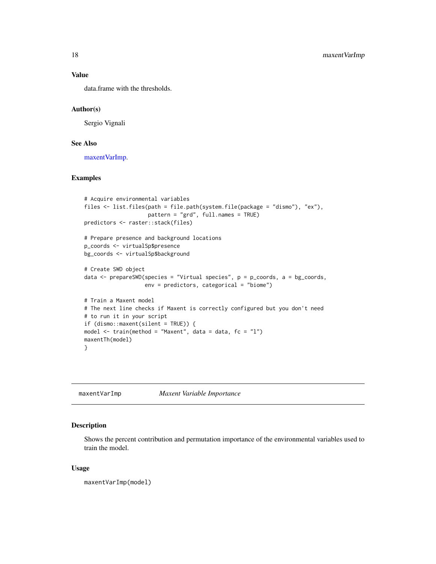### Value

data.frame with the thresholds.

### Author(s)

Sergio Vignali

### See Also

[maxentVarImp.](#page-17-1)

#### Examples

```
# Acquire environmental variables
files <- list.files(path = file.path(system.file(package = "dismo"), "ex"),
                    pattern = "grd", full.names = TRUE)
predictors <- raster::stack(files)
# Prepare presence and background locations
p_coords <- virtualSp$presence
bg_coords <- virtualSp$background
# Create SWD object
data <- prepareSWD(species = "Virtual species", p = p_coords, a = bg_coords,
                   env = predictors, categorical = "biome")
# Train a Maxent model
# The next line checks if Maxent is correctly configured but you don't need
# to run it in your script
if (dismo::maxent(silent = TRUE)) {
model <- train(method = "Maxent", data = data, fc = "l")
maxentTh(model)
}
```
<span id="page-17-1"></span>maxentVarImp *Maxent Variable Importance*

### Description

Shows the percent contribution and permutation importance of the environmental variables used to train the model.

#### Usage

maxentVarImp(model)

<span id="page-17-0"></span>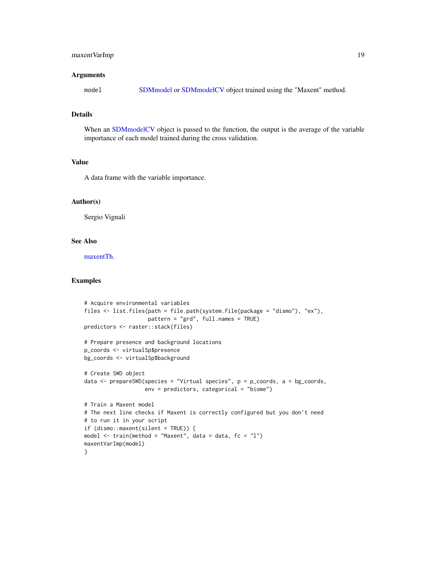### <span id="page-18-0"></span>maxent VarImp 19

#### Arguments

model [SDMmodel](#page-49-1) or [SDMmodelCV](#page-50-1) object trained using the "Maxent" method.

### Details

When an [SDMmodelCV](#page-50-1) object is passed to the function, the output is the average of the variable importance of each model trained during the cross validation.

### Value

A data frame with the variable importance.

### Author(s)

Sergio Vignali

### See Also

[maxentTh.](#page-16-1)

```
# Acquire environmental variables
files <- list.files(path = file.path(system.file(package = "dismo"), "ex"),
                     pattern = "grd", full.names = TRUE)
predictors <- raster::stack(files)
# Prepare presence and background locations
p_coords <- virtualSp$presence
bg_coords <- virtualSp$background
# Create SWD object
data \leq prepareSWD(species = "Virtual species", p = p\text{-}coords, a = bg\text{-}coords,
                   env = predictors, categorical = "biome")
# Train a Maxent model
# The next line checks if Maxent is correctly configured but you don't need
# to run it in your script
if (dismo::maxent(silent = TRUE)) {
model \le train(method = "Maxent", data = data, fc = "l")
maxentVarImp(model)
}
```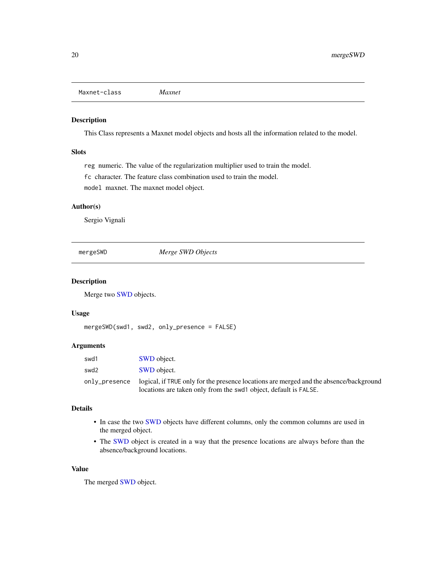```
Maxnet-class Maxnet
```
#### Description

This Class represents a Maxnet model objects and hosts all the information related to the model.

### Slots

reg numeric. The value of the regularization multiplier used to train the model. fc character. The feature class combination used to train the model. model maxnet. The maxnet model object.

#### Author(s)

Sergio Vignali

mergeSWD *Merge SWD Objects*

### Description

Merge two [SWD](#page-51-1) objects.

#### Usage

mergeSWD(swd1, swd2, only\_presence = FALSE)

### Arguments

| swd1          | <b>SWD</b> object.                                                                     |
|---------------|----------------------------------------------------------------------------------------|
| swd2          | <b>SWD</b> object.                                                                     |
| only_presence | logical, if TRUE only for the presence locations are merged and the absence/background |
|               | locations are taken only from the swd1 object, default is FALSE.                       |

### Details

- In case the two [SWD](#page-51-1) objects have different columns, only the common columns are used in the merged object.
- The [SWD](#page-51-1) object is created in a way that the presence locations are always before than the absence/background locations.

### Value

The merged [SWD](#page-51-1) object.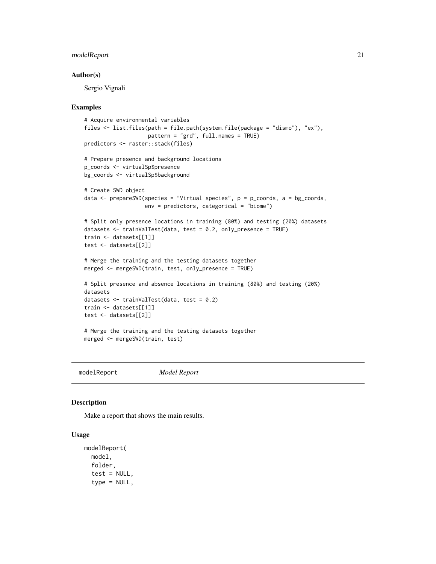### <span id="page-20-0"></span>modelReport 21

#### Author(s)

Sergio Vignali

#### Examples

```
# Acquire environmental variables
files <- list.files(path = file.path(system.file(package = "dismo"), "ex"),
                    pattern = "grd", full.names = TRUE)
predictors <- raster::stack(files)
# Prepare presence and background locations
p_coords <- virtualSp$presence
bg_coords <- virtualSp$background
# Create SWD object
data \leq prepareSWD(species = "Virtual species", p = p\_{\text{coordinates}}, a = bg_coords,
                   env = predictors, categorical = "biome")
# Split only presence locations in training (80%) and testing (20%) datasets
datasets <- trainValTest(data, test = 0.2, only_presence = TRUE)
train <- datasets[[1]]
test <- datasets[[2]]
# Merge the training and the testing datasets together
merged <- mergeSWD(train, test, only_presence = TRUE)
# Split presence and absence locations in training (80%) and testing (20%)
datasets
datasets <- trainValTest(data, test = 0.2)
train <- datasets[[1]]
test <- datasets[[2]]
# Merge the training and the testing datasets together
merged <- mergeSWD(train, test)
```
modelReport *Model Report*

#### Description

Make a report that shows the main results.

#### Usage

```
modelReport(
  model,
  folder,
  test = NULL,type = NULL,
```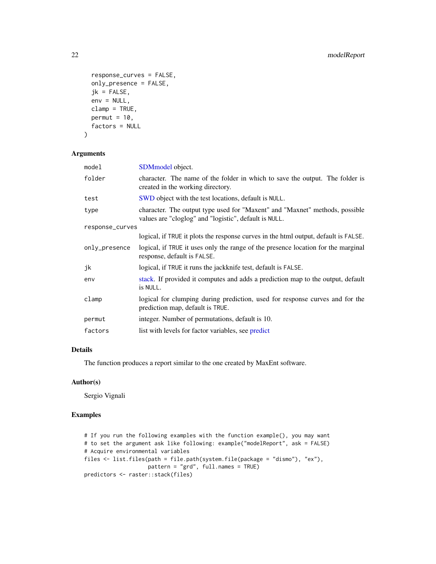```
response_curves = FALSE,
 only_presence = FALSE,
  jk = FALSE,env = NULL,clamp = TRUE,permut = 10,
 factors = NULL
\mathcal{E}
```
#### Arguments

| model           | SDM <sub>model</sub> object.                                                                                                         |  |
|-----------------|--------------------------------------------------------------------------------------------------------------------------------------|--|
| folder          | character. The name of the folder in which to save the output. The folder is<br>created in the working directory.                    |  |
| test            | SWD object with the test locations, default is NULL.                                                                                 |  |
| type            | character. The output type used for "Maxent" and "Maxnet" methods, possible<br>values are "cloglog" and "logistic", default is NULL. |  |
| response_curves |                                                                                                                                      |  |
|                 | logical, if TRUE it plots the response curves in the html output, default is FALSE.                                                  |  |
| only_presence   | logical, if TRUE it uses only the range of the presence location for the marginal<br>response, default is FALSE.                     |  |
| jk              | logical, if TRUE it runs the jackknife test, default is FALSE.                                                                       |  |
| env             | stack. If provided it computes and adds a prediction map to the output, default<br>is NULL.                                          |  |
| clamp           | logical for clumping during prediction, used for response curves and for the<br>prediction map, default is TRUE.                     |  |
| permut          | integer. Number of permutations, default is 10.                                                                                      |  |
| factors         | list with levels for factor variables, see predict                                                                                   |  |
|                 |                                                                                                                                      |  |

### Details

The function produces a report similar to the one created by MaxEnt software.

### Author(s)

Sergio Vignali

```
# If you run the following examples with the function example(), you may want
# to set the argument ask like following: example("modelReport", ask = FALSE)
# Acquire environmental variables
files <- list.files(path = file.path(system.file(package = "dismo"), "ex"),
                   pattern = "grd", full.names = TRUE)
predictors <- raster::stack(files)
```
<span id="page-21-0"></span>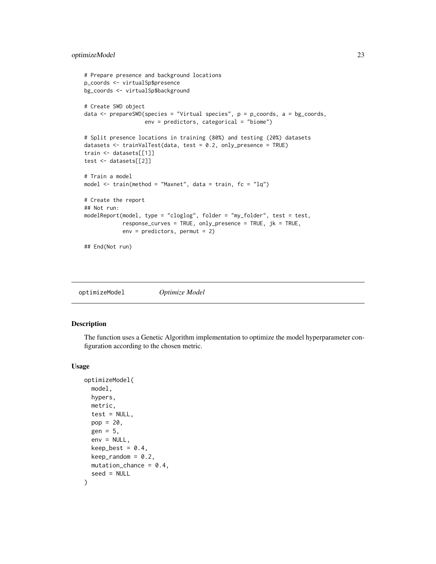### <span id="page-22-0"></span>optimizeModel 23

```
# Prepare presence and background locations
p_coords <- virtualSp$presence
bg_coords <- virtualSp$background
# Create SWD object
data \leq prepareSWD(species = "Virtual species", p = p\_{\text{coordinates}}, a = bg_coords,
                   env = predictors, categorical = "biome")
# Split presence locations in training (80%) and testing (20%) datasets
datasets <- trainValTest(data, test = 0.2, only_presence = TRUE)
train <- datasets[[1]]
test <- datasets[[2]]
# Train a model
model \le train(method = "Maxnet", data = train, fc = "lq")
# Create the report
## Not run:
modelReport(model, type = "cloglog", folder = "my_folder", test = test,
            response_curves = TRUE, only_presence = TRUE, jk = TRUE,
            env = predictors, permut = 2)
## End(Not run)
```
<span id="page-22-1"></span>optimizeModel *Optimize Model*

### Description

The function uses a Genetic Algorithm implementation to optimize the model hyperparameter configuration according to the chosen metric.

#### Usage

```
optimizeModel(
  model,
  hypers,
  metric,
  test = NULL,
  pop = 20,
  gen = 5,env = NULL,
  keep_best = 0.4,
  keep\_random = 0.2,mutation_{chance} = 0.4,
  seed = NULL
)
```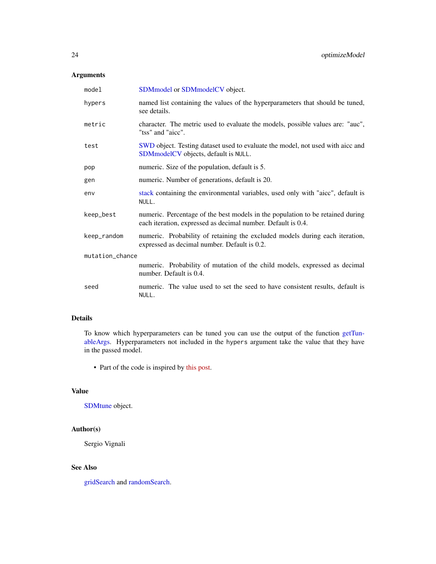### <span id="page-23-0"></span>Arguments

| model           | SDMmodel or SDMmodelCV object.                                                                                                                 |  |
|-----------------|------------------------------------------------------------------------------------------------------------------------------------------------|--|
| hypers          | named list containing the values of the hyperparameters that should be tuned,<br>see details.                                                  |  |
| metric          | character. The metric used to evaluate the models, possible values are: "auc",<br>"tss" and "aicc".                                            |  |
| test            | SWD object. Testing dataset used to evaluate the model, not used with aicc and<br><b>SDM</b> model CV objects, default is NULL.                |  |
| pop             | numeric. Size of the population, default is 5.                                                                                                 |  |
| gen             | numeric. Number of generations, default is 20.                                                                                                 |  |
| env             | stack containing the environmental variables, used only with "aicc", default is<br>NULL.                                                       |  |
| keep_best       | numeric. Percentage of the best models in the population to be retained during<br>each iteration, expressed as decimal number. Default is 0.4. |  |
| keep_random     | numeric. Probability of retaining the excluded models during each iteration,<br>expressed as decimal number. Default is 0.2.                   |  |
| mutation_chance |                                                                                                                                                |  |
|                 | numeric. Probability of mutation of the child models, expressed as decimal<br>number. Default is 0.4.                                          |  |
| seed            | numeric. The value used to set the seed to have consistent results, default is<br>NULL.                                                        |  |

### Details

To know which hyperparameters can be tuned you can use the output of the function [getTun](#page-13-1)[ableArgs.](#page-13-1) Hyperparameters not included in the hypers argument take the value that they have in the passed model.

• Part of the code is inspired by [this post.](https://blog.coast.ai/lets-evolve-a-neural-network-with-a-geneticalgorithm-code-included-8809bece164)

### Value

[SDMtune](#page-51-2) object.

### Author(s)

Sergio Vignali

### See Also

[gridSearch](#page-14-1) and [randomSearch.](#page-44-1)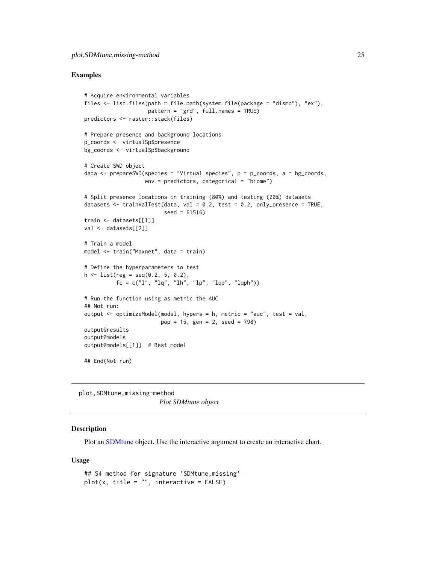#### <span id="page-24-0"></span>Examples

```
# Acquire environmental variables
files <- list.files(path = file.path(system.file(package = "dismo"), "ex"),
                    pattern = "grd", full.names = TRUE)
predictors <- raster::stack(files)
# Prepare presence and background locations
p_coords <- virtualSp$presence
bg_coords <- virtualSp$background
# Create SWD object
data <- prepareSWD(species = "Virtual species", p = p_coords, a = bg_coords,
                   env = predictors, categorical = "biome")
# Split presence locations in training (80%) and testing (20%) datasets
datasets \le trainValTest(data, val = 0.2, test = 0.2, only_presence = TRUE,
                         seed = 61516)
train <- datasets[[1]]
val <- datasets[[2]]
# Train a model
model <- train("Maxnet", data = train)
# Define the hyperparameters to test
h \leq 1ist(reg = seq(0.2, 5, 0.2),
          fc = c("l", "lq", "lh", "lp", "lqp", "lqph"))# Run the function using as metric the AUC
## Not run:
output <- optimizeModel(model, hypers = h, metric = "auc", test = val,
                        pop = 15, gen = 2, seed = 798)
output@results
output@models
output@models[[1]] # Best model
## End(Not run)
```
plot,SDMtune,missing-method *Plot SDMtune object*

### Description

Plot an [SDMtune](#page-51-2) object. Use the interactive argument to create an interactive chart.

#### Usage

```
## S4 method for signature 'SDMtune,missing'
plot(x, title = "", interactive = FALSE)
```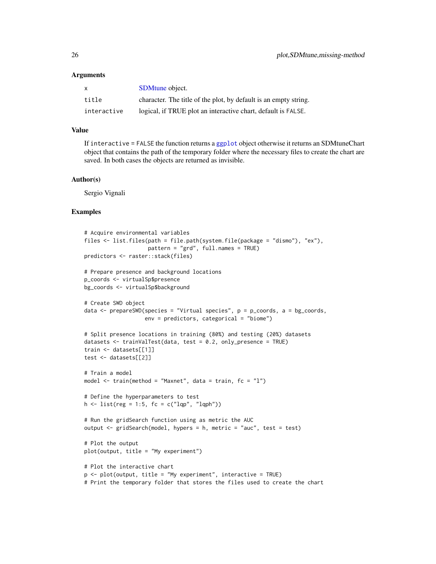#### <span id="page-25-0"></span>Arguments

| X.          | <b>SDM</b> tune object.                                          |
|-------------|------------------------------------------------------------------|
| title       | character. The title of the plot, by default is an empty string. |
| interactive | logical, if TRUE plot an interactive chart, default is FALSE.    |

### Value

If interactive = FALSE the function returns a [ggplot](#page-0-0) object otherwise it returns an SDMtuneChart object that contains the path of the temporary folder where the necessary files to create the chart are saved. In both cases the objects are returned as invisible.

#### Author(s)

Sergio Vignali

```
# Acquire environmental variables
files <- list.files(path = file.path(system.file(package = "dismo"), "ex"),
                     pattern = "grd", full.names = TRUE)
predictors <- raster::stack(files)
# Prepare presence and background locations
p_coords <- virtualSp$presence
bg_coords <- virtualSp$background
# Create SWD object
data \leq prepareSWD(species = "Virtual species", p = p_coords, a = bg_coords,
                    env = predictors, categorical = "biome")
# Split presence locations in training (80%) and testing (20%) datasets
datasets \leq trainValTest(data, test = 0.2, only_presence = TRUE)
train <- datasets[[1]]
test <- datasets[[2]]
# Train a model
model \le train(method = "Maxnet", data = train, fc = "1")# Define the hyperparameters to test
h \leftarrow list(reg = 1:5, fc = c("lqp", "lqph"))
# Run the gridSearch function using as metric the AUC
output <- gridSearch(model, hypers = h, metric = "auc", test = test)
# Plot the output
plot(output, title = "My experiment")
# Plot the interactive chart
p \leq - \text{plot}(\text{output}, \text{title} = \text{"My experiment", interactive} = \text{TRUE})# Print the temporary folder that stores the files used to create the chart
```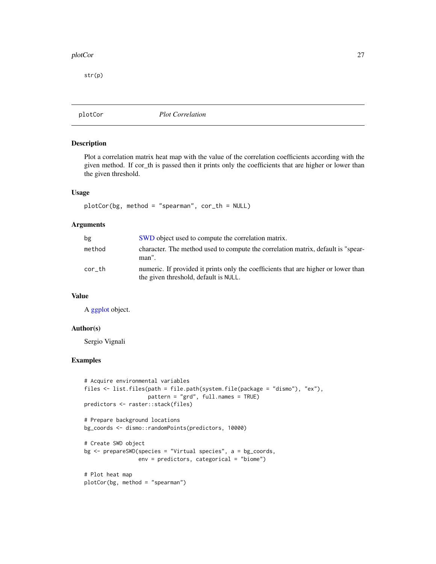#### <span id="page-26-0"></span>plotCor 27

str(p)

plotCor *Plot Correlation*

### Description

Plot a correlation matrix heat map with the value of the correlation coefficients according with the given method. If cor\_th is passed then it prints only the coefficients that are higher or lower than the given threshold.

#### Usage

plotCor(bg, method = "spearman", cor\_th = NULL)

#### Arguments

| bg     | SWD object used to compute the correlation matrix.                                                                          |
|--------|-----------------------------------------------------------------------------------------------------------------------------|
| method | character. The method used to compute the correlation matrix, default is "spear-<br>man".                                   |
| cor th | numeric. If provided it prints only the coefficients that are higher or lower than<br>the given threshold, default is NULL. |

### Value

A [ggplot](#page-0-0) object.

### Author(s)

Sergio Vignali

```
# Acquire environmental variables
files <- list.files(path = file.path(system.file(package = "dismo"), "ex"),
                   pattern = "grd", full.names = TRUE)
predictors <- raster::stack(files)
# Prepare background locations
bg_coords <- dismo::randomPoints(predictors, 10000)
# Create SWD object
bg <- prepareSWD(species = "Virtual species", a = bg_coords,
                 env = predictors, categorical = "biome")
# Plot heat map
plotCor(bg, method = "spearman")
```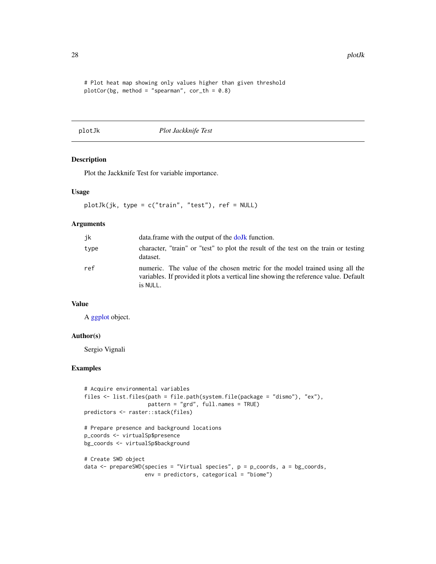```
# Plot heat map showing only values higher than given threshold
plotCor(bg, method = "spearman", cor_{th} = 0.8)
```
plotJk *Plot Jackknife Test*

#### Description

Plot the Jackknife Test for variable importance.

### Usage

plotJk(jk, type = c("train", "test"), ref = NULL)

### Arguments

| jk   | data.frame with the output of the dolk function.                                                                                                                                |
|------|---------------------------------------------------------------------------------------------------------------------------------------------------------------------------------|
| type | character, "train" or "test" to plot the result of the test on the train or testing<br>dataset.                                                                                 |
| ref  | numeric. The value of the chosen metric for the model trained using all the<br>variables. If provided it plots a vertical line showing the reference value. Default<br>is NULL. |

### Value

A [ggplot](#page-0-0) object.

### Author(s)

Sergio Vignali

```
# Acquire environmental variables
files <- list.files(path = file.path(system.file(package = "dismo"), "ex"),
                    pattern = "grd", full.names = TRUE)
predictors <- raster::stack(files)
# Prepare presence and background locations
p_coords <- virtualSp$presence
bg_coords <- virtualSp$background
# Create SWD object
```

```
data <- prepareSWD(species = "Virtual species", p = p_coords, a = bg_coords,
                  env = predictors, categorical = "biome")
```
<span id="page-27-0"></span>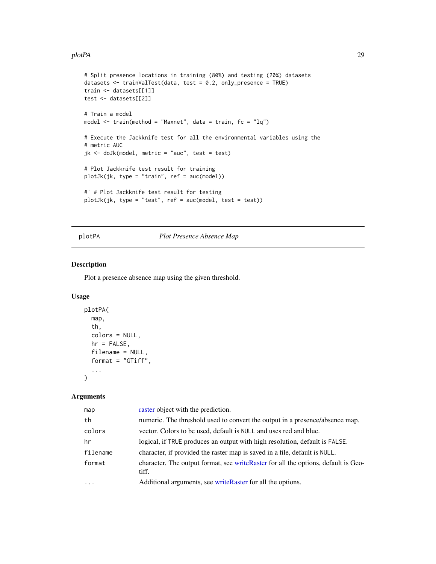#### <span id="page-28-0"></span>plotPA 29

```
# Split presence locations in training (80%) and testing (20%) datasets
datasets <- trainValTest(data, test = 0.2, only_presence = TRUE)
train <- datasets[[1]]
test <- datasets[[2]]
# Train a model
model <- train(method = "Maxnet", data = train, fc = "lq")
# Execute the Jackknife test for all the environmental variables using the
# metric AUC
jk <- doJk(model, metric = "auc", test = test)
# Plot Jackknife test result for training
plotJk(jk, type = "train", ref = auc(model))
#' # Plot Jackknife test result for testing
plotJk(jk, type = "test", ref = auc(model, test = test))
```
### <span id="page-28-1"></span>plotPA *Plot Presence Absence Map*

### Description

Plot a presence absence map using the given threshold.

#### Usage

```
plotPA(
  map,
  th,
  colors = NULL,
  hr = FALSE,filename = NULL,
  format = "GTiff",
  ...
\mathcal{L}
```
### Arguments

| map       | raster object with the prediction.                                                           |
|-----------|----------------------------------------------------------------------------------------------|
| th        | numeric. The threshold used to convert the output in a presence/absence map.                 |
| colors    | vector. Colors to be used, default is NULL and uses red and blue.                            |
| hr        | logical, if TRUE produces an output with high resolution, default is FALSE.                  |
| filename  | character, if provided the raster map is saved in a file, default is NULL.                   |
| format    | character. The output format, see write Raster for all the options, default is Geo-<br>tiff. |
| $\ddotsc$ | Additional arguments, see writeRaster for all the options.                                   |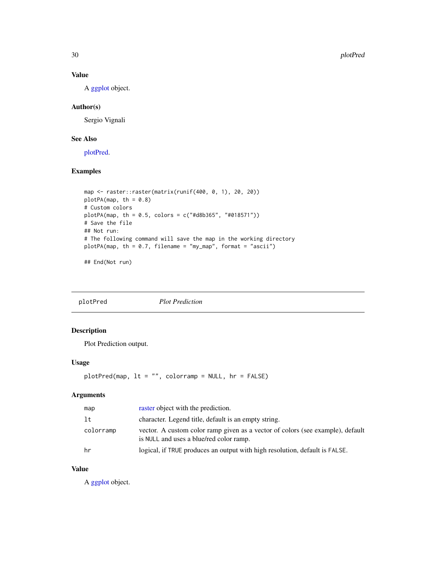### Value

A [ggplot](#page-0-0) object.

### Author(s)

Sergio Vignali

### See Also

[plotPred.](#page-29-1)

### Examples

```
map <- raster::raster(matrix(runif(400, 0, 1), 20, 20))
plotPA(map, th = 0.8)# Custom colors
plotPA(map, th = 0.5, colors = c("#d8b365", "#018571"))
# Save the file
## Not run:
# The following command will save the map in the working directory
plotPA(map, th = 0.7, filename = "my_map", format = "ascii")
```
## End(Not run)

<span id="page-29-1"></span>plotPred *Plot Prediction*

### Description

Plot Prediction output.

### Usage

```
plotPred(map, lt = "", colorramp = NULL, hr = FALSE)
```
### Arguments

| map       | raster object with the prediction.                                                                                        |
|-----------|---------------------------------------------------------------------------------------------------------------------------|
| 1t        | character. Legend title, default is an empty string.                                                                      |
| colorramp | vector. A custom color ramp given as a vector of colors (see example), default<br>is NULL and uses a blue/red color ramp. |
| hr        | logical, if TRUE produces an output with high resolution, default is FALSE.                                               |

### Value

A [ggplot](#page-0-0) object.

<span id="page-29-0"></span>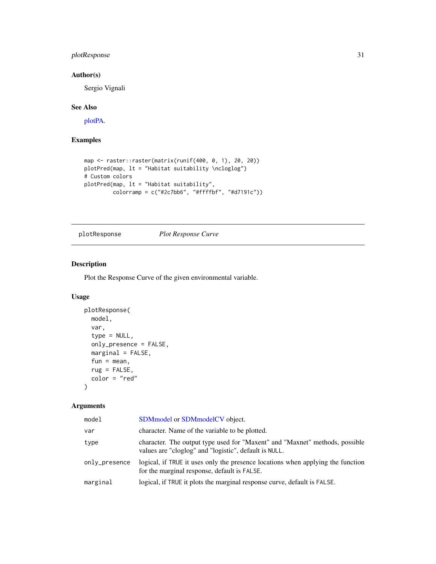### <span id="page-30-0"></span>plotResponse 31

### Author(s)

Sergio Vignali

### See Also

[plotPA.](#page-28-1)

### Examples

```
map <- raster::raster(matrix(runif(400, 0, 1), 20, 20))
plotPred(map, lt = "Habitat suitability \ncloglog")
# Custom colors
plotPred(map, lt = "Habitat suitability",
         colorramp = c("#2c7bb6", "#ffffbf", "#d7191c"))
```
### plotResponse *Plot Response Curve*

### Description

Plot the Response Curve of the given environmental variable.

#### Usage

```
plotResponse(
 model,
  var,
  type = NULL,
 only_presence = FALSE,
 marginal = FALSE,
  fun = mean,rug = FALSE,color = "red"
)
```
#### Arguments

| model         | SDM model or SDM model CV object.                                                                                                    |
|---------------|--------------------------------------------------------------------------------------------------------------------------------------|
| var           | character. Name of the variable to be plotted.                                                                                       |
| type          | character. The output type used for "Maxent" and "Maxnet" methods, possible<br>values are "cloglog" and "logistic", default is NULL. |
| only_presence | logical, if TRUE it uses only the presence locations when applying the function<br>for the marginal response, default is FALSE.      |
| marginal      | logical, if TRUE it plots the marginal response curve, default is FALSE.                                                             |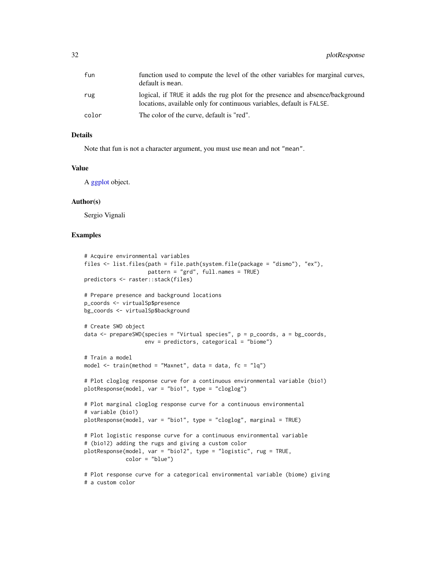<span id="page-31-0"></span>

| fun   | function used to compute the level of the other variables for marginal curves,<br>default is mean.                                                     |
|-------|--------------------------------------------------------------------------------------------------------------------------------------------------------|
| rug   | logical, if TRUE it adds the rug plot for the presence and absence/background<br>locations, available only for continuous variables, default is FALSE. |
| color | The color of the curve, default is "red".                                                                                                              |

#### Details

Note that fun is not a character argument, you must use mean and not "mean".

#### Value

A [ggplot](#page-0-0) object.

#### Author(s)

Sergio Vignali

# a custom color

```
# Acquire environmental variables
files <- list.files(path = file.path(system.file(package = "dismo"), "ex"),
                    pattern = "grd", full.names = TRUE)
predictors <- raster::stack(files)
# Prepare presence and background locations
p_coords <- virtualSp$presence
bg_coords <- virtualSp$background
# Create SWD object
data \leq prepareSWD(species = "Virtual species", p = p\_{\text{coordinates}}, a = bg_coords,
                   env = predictors, categorical = "biome")
# Train a model
model \le train(method = "Maxnet", data = data, fc = "lq")
# Plot cloglog response curve for a continuous environmental variable (bio1)
plotResponse(model, var = "bio1", type = "cloglog")
# Plot marginal cloglog response curve for a continuous environmental
# variable (bio1)
plotResponse(model, var = "bio1", type = "cloglog", marginal = TRUE)
# Plot logistic response curve for a continuous environmental variable
# (bio12) adding the rugs and giving a custom color
plotResponse(model, var = "bio12", type = "logistic", rug = TRUE,
             color = "blue")# Plot response curve for a categorical environmental variable (biome) giving
```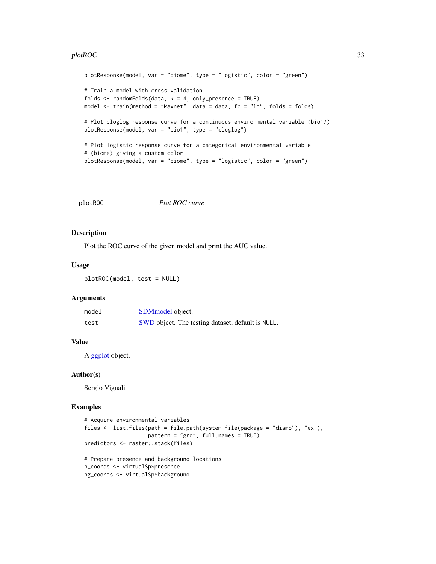#### <span id="page-32-0"></span> $p$ lotROC 33

```
plotResponse(model, var = "biome", type = "logistic", color = "green")
# Train a model with cross validation
folds \le randomFolds(data, k = 4, only_presence = TRUE)
model <- train(method = "Maxnet", data = data, fc = "lq", folds = folds)
# Plot cloglog response curve for a continuous environmental variable (bio17)
plotResponse(model, var = "bio1", type = "cloglog")
# Plot logistic response curve for a categorical environmental variable
# (biome) giving a custom color
plotResponse(model, var = "biome", type = "logistic", color = "green")
```
plotROC *Plot ROC curve*

#### Description

Plot the ROC curve of the given model and print the AUC value.

#### Usage

plotROC(model, test = NULL)

### Arguments

| model | SDM <sub>model</sub> object.                      |
|-------|---------------------------------------------------|
| test  | SWD object. The testing dataset, default is NULL. |

#### Value

A [ggplot](#page-0-0) object.

### Author(s)

Sergio Vignali

```
# Acquire environmental variables
files <- list.files(path = file.path(system.file(package = "dismo"), "ex"),
                    pattern = "grd", full.names = TRUE)
predictors <- raster::stack(files)
# Prepare presence and background locations
p_coords <- virtualSp$presence
bg_coords <- virtualSp$background
```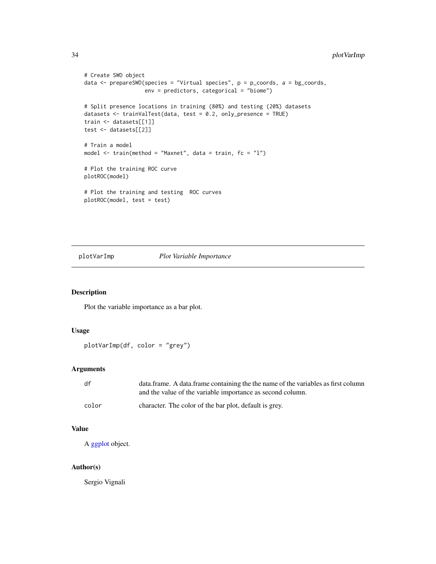```
# Create SWD object
data <- prepareSWD(species = "Virtual species", p = p_coords, a = bg_coords,
                  env = predictors, categorical = "biome")
# Split presence locations in training (80%) and testing (20%) datasets
datasets <- trainValTest(data, test = 0.2, only_presence = TRUE)
train <- datasets[[1]]
test <- datasets[[2]]
# Train a model
model \le train(method = "Maxnet", data = train, fc = "1")# Plot the training ROC curve
plotROC(model)
# Plot the training and testing ROC curves
plotROC(model, test = test)
```
plotVarImp *Plot Variable Importance*

### Description

Plot the variable importance as a bar plot.

#### Usage

```
plotVarImp(df, color = "grey")
```
### Arguments

| df    | data.frame. A data.frame containing the the name of the variables as first column |
|-------|-----------------------------------------------------------------------------------|
|       | and the value of the variable importance as second column.                        |
| color | character. The color of the bar plot, default is grey.                            |

### Value

A [ggplot](#page-0-0) object.

### Author(s)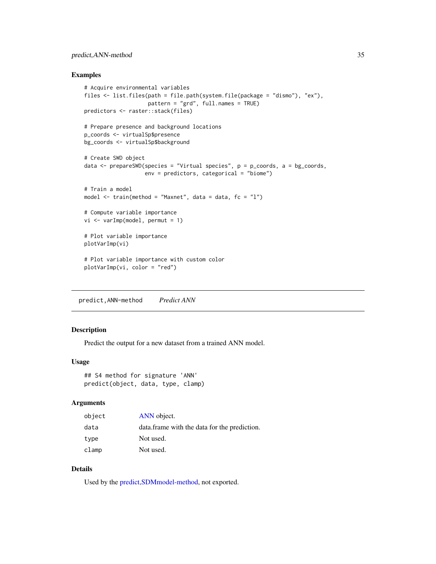### <span id="page-34-0"></span>predict, ANN-method 35

#### Examples

```
# Acquire environmental variables
files <- list.files(path = file.path(system.file(package = "dismo"), "ex"),
                    pattern = "grd", full.names = TRUE)
predictors <- raster::stack(files)
# Prepare presence and background locations
p_coords <- virtualSp$presence
bg_coords <- virtualSp$background
# Create SWD object
data <- prepareSWD(species = "Virtual species", p = p_coords, a = bg_coords,
                  env = predictors, categorical = "biome")
# Train a model
model <- train(method = "Maxnet", data = data, fc = "l")
# Compute variable importance
vi <- varImp(model, permut = 1)
# Plot variable importance
plotVarImp(vi)
# Plot variable importance with custom color
plotVarImp(vi, color = "red")
```
predict,ANN-method *Predict ANN*

#### Description

Predict the output for a new dataset from a trained ANN model.

### Usage

```
## S4 method for signature 'ANN'
predict(object, data, type, clamp)
```
#### Arguments

| object | ANN object.                                  |
|--------|----------------------------------------------|
| data   | data.frame with the data for the prediction. |
| type   | Not used.                                    |
| clamp  | Not used.                                    |

### Details

Used by the [predict,SDMmodel-method,](#page-37-1) not exported.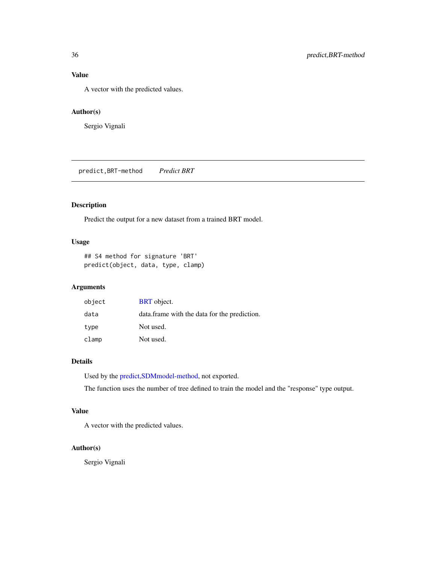### <span id="page-35-0"></span>Value

A vector with the predicted values.

### Author(s)

Sergio Vignali

predict,BRT-method *Predict BRT*

### Description

Predict the output for a new dataset from a trained BRT model.

### Usage

## S4 method for signature 'BRT' predict(object, data, type, clamp)

### Arguments

| object | <b>BRT</b> object.                           |
|--------|----------------------------------------------|
| data   | data.frame with the data for the prediction. |
| type   | Not used.                                    |
| clamp  | Not used.                                    |

### Details

Used by the [predict,SDMmodel-method,](#page-37-1) not exported.

The function uses the number of tree defined to train the model and the "response" type output.

### Value

A vector with the predicted values.

### Author(s)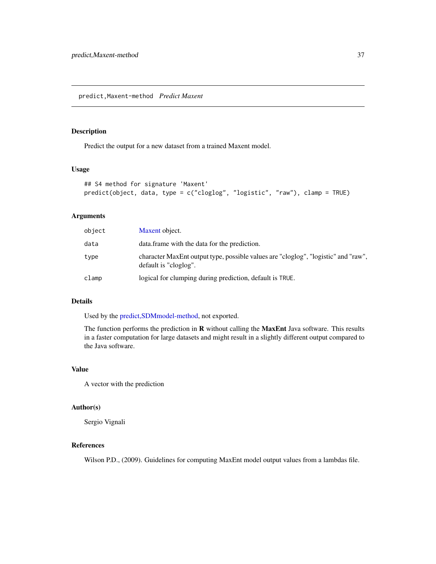### <span id="page-36-0"></span>Description

Predict the output for a new dataset from a trained Maxent model.

### Usage

```
## S4 method for signature 'Maxent'
predict(object, data, type = c("cloglog", "logistic", "raw"), clamp = TRUE)
```
### Arguments

| object | Maxent object.                                                                                              |
|--------|-------------------------------------------------------------------------------------------------------------|
| data   | data. frame with the data for the prediction.                                                               |
| type   | character MaxEnt output type, possible values are "cloglog", "logistic" and "raw",<br>default is "cloglog". |
| clamp  | logical for clumping during prediction, default is TRUE.                                                    |

### Details

Used by the [predict,SDMmodel-method,](#page-37-1) not exported.

The function performs the prediction in R without calling the MaxEnt Java software. This results in a faster computation for large datasets and might result in a slightly different output compared to the Java software.

### Value

A vector with the prediction

### Author(s)

Sergio Vignali

#### References

Wilson P.D., (2009). Guidelines for computing MaxEnt model output values from a lambdas file.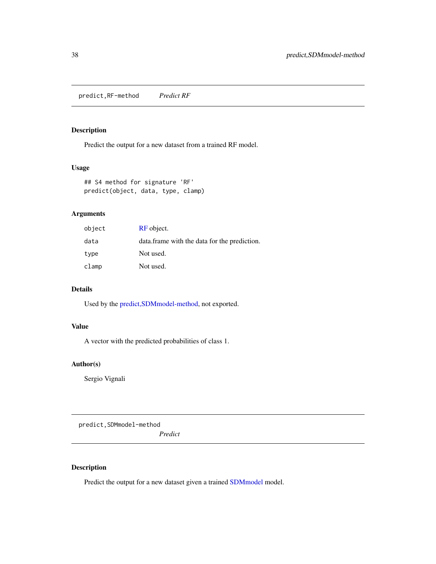<span id="page-37-0"></span>predict,RF-method *Predict RF*

### Description

Predict the output for a new dataset from a trained RF model.

#### Usage

```
## S4 method for signature 'RF'
predict(object, data, type, clamp)
```
### Arguments

| object | RF object.                                   |
|--------|----------------------------------------------|
| data   | data.frame with the data for the prediction. |
| type   | Not used.                                    |
| clamp  | Not used.                                    |

### Details

Used by the [predict,SDMmodel-method,](#page-37-1) not exported.

### Value

A vector with the predicted probabilities of class 1.

### Author(s)

Sergio Vignali

<span id="page-37-1"></span>predict,SDMmodel-method

*Predict*

### Description

Predict the output for a new dataset given a trained [SDMmodel](#page-49-1) model.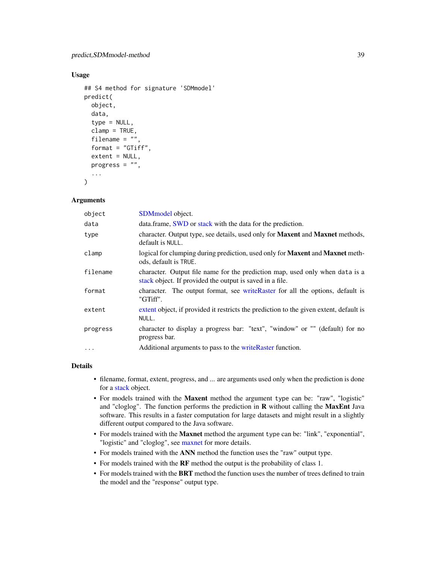### <span id="page-38-0"></span>Usage

```
## S4 method for signature 'SDMmodel'
predict(
  object,
  data,
  type = NULL,clamp = TRUE,filename = ",
  format = "GTiff",
  extent = NULL,
 progress = ",
  ...
)
```
### Arguments

| object   | SDMmodel object.                                                                                                                         |
|----------|------------------------------------------------------------------------------------------------------------------------------------------|
| data     | data.frame, SWD or stack with the data for the prediction.                                                                               |
| type     | character. Output type, see details, used only for Maxent and Maxnet methods,<br>default is NULL.                                        |
| clamp    | logical for clumping during prediction, used only for <b>Maxent</b> and <b>Maxnet</b> meth-<br>ods, default is TRUE.                     |
| filename | character. Output file name for the prediction map, used only when data is a<br>stack object. If provided the output is saved in a file. |
| format   | character. The output format, see write Raster for all the options, default is<br>"GTiff".                                               |
| extent   | extent object, if provided it restricts the prediction to the given extent, default is<br>NULL.                                          |
| progress | character to display a progress bar: "text", "window" or "" (default) for no<br>progress bar.                                            |
| $\cdots$ | Additional arguments to pass to the write Raster function.                                                                               |

### Details

- filename, format, extent, progress, and ... are arguments used only when the prediction is done for a [stack](#page-0-0) object.
- For models trained with the Maxent method the argument type can be: "raw", "logistic" and "cloglog". The function performs the prediction in  $R$  without calling the MaxEnt Java software. This results in a faster computation for large datasets and might result in a slightly different output compared to the Java software.
- For models trained with the Maxnet method the argument type can be: "link", "exponential", "logistic" and "cloglog", see [maxnet](#page-0-0) for more details.
- For models trained with the ANN method the function uses the "raw" output type.
- For models trained with the RF method the output is the probability of class 1.
- For models trained with the BRT method the function uses the number of trees defined to train the model and the "response" output type.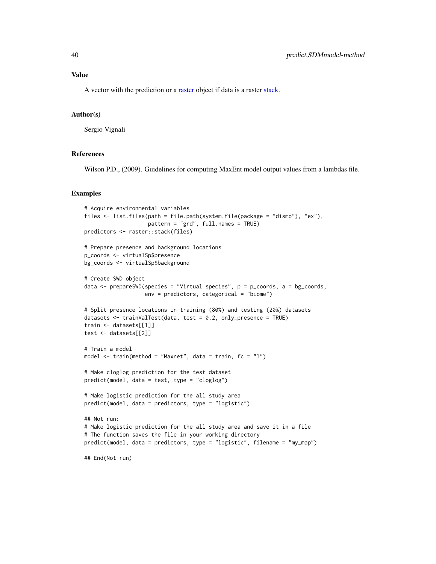#### <span id="page-39-0"></span>Value

A vector with the prediction or a [raster](#page-0-0) object if data is a raster [stack.](#page-0-0)

#### Author(s)

Sergio Vignali

#### References

Wilson P.D., (2009). Guidelines for computing MaxEnt model output values from a lambdas file.

```
# Acquire environmental variables
files <- list.files(path = file.path(system.file(package = "dismo"), "ex"),
                    pattern = "grd", full.names = TRUE)
predictors <- raster::stack(files)
# Prepare presence and background locations
p_coords <- virtualSp$presence
bg_coords <- virtualSp$background
# Create SWD object
data \leq prepareSWD(species = "Virtual species", p = p\_{\text{coordinates}}, a = bg_coords,
                   env = predictors, categorical = "biome")
# Split presence locations in training (80%) and testing (20%) datasets
datasets <- trainValTest(data, test = 0.2, only_presence = TRUE)
train <- datasets[[1]]
test <- datasets[[2]]
# Train a model
model <- train(method = "Maxnet", data = train, fc = "l")
# Make cloglog prediction for the test dataset
predict(model, data = test, type = "cloglog")
# Make logistic prediction for the all study area
predict(model, data = predictors, type = "logistic")
## Not run:
# Make logistic prediction for the all study area and save it in a file
# The function saves the file in your working directory
predict(model, data = predictors, type = "logistic", filename = "my_map")
## End(Not run)
```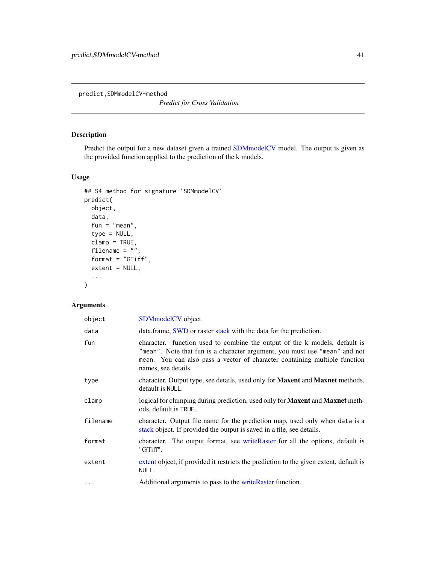<span id="page-40-0"></span>predict,SDMmodelCV-method

*Predict for Cross Validation*

### Description

Predict the output for a new dataset given a trained [SDMmodelCV](#page-50-1) model. The output is given as the provided function applied to the prediction of the k models.

### Usage

```
## S4 method for signature 'SDMmodelCV'
predict(
 object,
 data,
 fun = "mean",
 type = NULL,
 clamp = TRUE,filename = ",
 format = "GTiff",extent = NULL,...
)
```
## Arguments

| object   | SDMmodelCV object.                                                                                                                                                                                                                                            |
|----------|---------------------------------------------------------------------------------------------------------------------------------------------------------------------------------------------------------------------------------------------------------------|
| data     | data.frame, <b>SWD</b> or raster stack with the data for the prediction.                                                                                                                                                                                      |
| fun      | character. function used to combine the output of the k models, default is<br>"mean". Note that fun is a character argument, you must use "mean" and not<br>mean. You can also pass a vector of character containing multiple function<br>names, see details. |
| type     | character. Output type, see details, used only for <b>Maxent</b> and <b>Maxnet</b> methods,<br>default is NULL.                                                                                                                                               |
| clamp    | logical for clumping during prediction, used only for <b>Maxent</b> and <b>Maxnet</b> meth-<br>ods, default is TRUE.                                                                                                                                          |
| filename | character. Output file name for the prediction map, used only when data is a<br>stack object. If provided the output is saved in a file, see details.                                                                                                         |
| format   | character. The output format, see write Raster for all the options, default is<br>"GTiff".                                                                                                                                                                    |
| extent   | extent object, if provided it restricts the prediction to the given extent, default is<br>NULL.                                                                                                                                                               |
| $\cdots$ | Additional arguments to pass to the writeRaster function.                                                                                                                                                                                                     |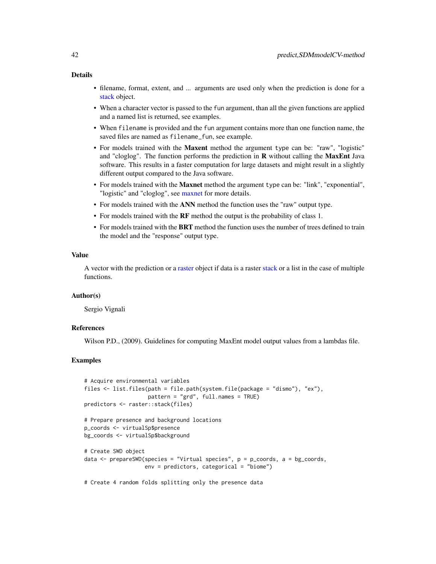### <span id="page-41-0"></span>Details

- filename, format, extent, and ... arguments are used only when the prediction is done for a [stack](#page-0-0) object.
- When a character vector is passed to the fun argument, than all the given functions are applied and a named list is returned, see examples.
- When filename is provided and the fun argument contains more than one function name, the saved files are named as filename\_fun, see example.
- For models trained with the Maxent method the argument type can be: "raw", "logistic" and "cloglog". The function performs the prediction in  $R$  without calling the MaxEnt Java software. This results in a faster computation for large datasets and might result in a slightly different output compared to the Java software.
- For models trained with the Maxnet method the argument type can be: "link", "exponential", "logistic" and "cloglog", see [maxnet](#page-0-0) for more details.
- For models trained with the ANN method the function uses the "raw" output type.
- For models trained with the RF method the output is the probability of class 1.
- For models trained with the BRT method the function uses the number of trees defined to train the model and the "response" output type.

#### Value

A vector with the prediction or a [raster](#page-0-0) object if data is a raster [stack](#page-0-0) or a list in the case of multiple functions.

#### Author(s)

Sergio Vignali

### **References**

Wilson P.D., (2009). Guidelines for computing MaxEnt model output values from a lambdas file.

### Examples

```
# Acquire environmental variables
files <- list.files(path = file.path(system.file(package = "dismo"), "ex"),
                    pattern = "grd", full.names = TRUE)
predictors <- raster::stack(files)
# Prepare presence and background locations
p_coords <- virtualSp$presence
bg_coords <- virtualSp$background
# Create SWD object
data \leq prepareSWD(species = "Virtual species", p = p\_{\text{coordinates}}, a = bg_coords,
```

```
env = predictors, categorical = "biome")
```
# Create 4 random folds splitting only the presence data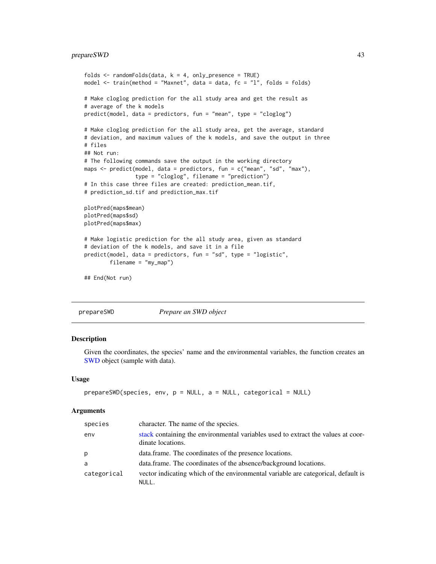### <span id="page-42-0"></span>prepareSWD 43

```
folds \le randomFolds(data, k = 4, only_presence = TRUE)
model <- train(method = "Maxnet", data = data, fc = "l", folds = folds)
# Make cloglog prediction for the all study area and get the result as
# average of the k models
predict(model, data = predictors, fun = "mean", type = "cloglog")
# Make cloglog prediction for the all study area, get the average, standard
# deviation, and maximum values of the k models, and save the output in three
# files
## Not run:
# The following commands save the output in the working directory
maps <- predict(model, data = predictors, fun = c("mean", "sd", "max"),
                type = "cloglog", filename = "prediction")
# In this case three files are created: prediction_mean.tif,
# prediction_sd.tif and prediction_max.tif
plotPred(maps$mean)
plotPred(maps$sd)
plotPred(maps$max)
# Make logistic prediction for the all study area, given as standard
# deviation of the k models, and save it in a file
predict(model, data = predictors, fun = "sd", type = "logistic",
        filename = "my_map")
## End(Not run)
```

```
prepareSWD Prepare an SWD object
```
#### Description

Given the coordinates, the species' name and the environmental variables, the function creates an [SWD](#page-51-1) object (sample with data).

### Usage

```
prepareSWD(species, env, p = NULL, a = NULL, categorical = NULL)
```
#### Arguments

| species     | character. The name of the species.                                                                   |
|-------------|-------------------------------------------------------------------------------------------------------|
| env         | stack containing the environmental variables used to extract the values at coor-<br>dinate locations. |
| p           | data.frame. The coordinates of the presence locations.                                                |
| a           | data.frame. The coordinates of the absence/background locations.                                      |
| categorical | vector indicating which of the environmental variable are categorical, default is<br>NULL.            |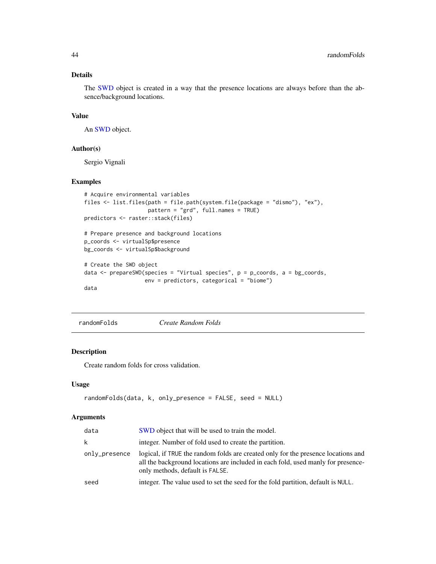### <span id="page-43-0"></span>Details

The [SWD](#page-51-1) object is created in a way that the presence locations are always before than the absence/background locations.

#### Value

An [SWD](#page-51-1) object.

### Author(s)

Sergio Vignali

### Examples

```
# Acquire environmental variables
files <- list.files(path = file.path(system.file(package = "dismo"), "ex"),
                    pattern = "grd", full.names = TRUE)
predictors <- raster::stack(files)
```

```
# Prepare presence and background locations
p_coords <- virtualSp$presence
bg_coords <- virtualSp$background
```

```
# Create the SWD object
data \leq prepareSWD(species = "Virtual species", p = p\_{\text{coordinates}}, a = bg_coords,
                     env = predictors, categorical = "biome")
data
```
<span id="page-43-1"></span>randomFolds *Create Random Folds*

### Description

Create random folds for cross validation.

### Usage

```
randomFolds(data, k, only_presence = FALSE, seed = NULL)
```
#### Arguments

| data          | SWD object that will be used to train the model.                                                                                                                                                         |
|---------------|----------------------------------------------------------------------------------------------------------------------------------------------------------------------------------------------------------|
| k             | integer. Number of fold used to create the partition.                                                                                                                                                    |
| only_presence | logical, if TRUE the random folds are created only for the presence locations and<br>all the background locations are included in each fold, used manly for presence-<br>only methods, default is FALSE. |
| seed          | integer. The value used to set the seed for the fold partition, default is NULL.                                                                                                                         |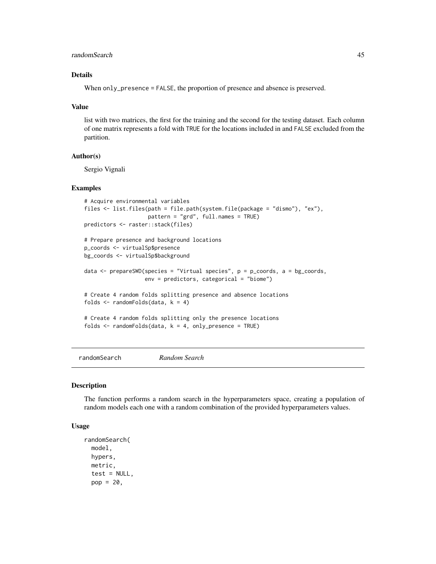### <span id="page-44-0"></span>randomSearch 45

### Details

When only\_presence = FALSE, the proportion of presence and absence is preserved.

#### Value

list with two matrices, the first for the training and the second for the testing dataset. Each column of one matrix represents a fold with TRUE for the locations included in and FALSE excluded from the partition.

### Author(s)

Sergio Vignali

#### Examples

```
# Acquire environmental variables
files <- list.files(path = file.path(system.file(package = "dismo"), "ex"),
                    pattern = "grd", full.names = TRUE)
predictors <- raster::stack(files)
# Prepare presence and background locations
p_coords <- virtualSp$presence
bg_coords <- virtualSp$background
data \leq prepareSWD(species = "Virtual species", p = p_coords, a = bg_coords,
                   env = predictors, categorical = "biome")
# Create 4 random folds splitting presence and absence locations
folds \le randomFolds(data, k = 4)
# Create 4 random folds splitting only the presence locations
folds \le randomFolds(data, k = 4, only_presence = TRUE)
```
<span id="page-44-1"></span>randomSearch *Random Search*

#### Description

The function performs a random search in the hyperparameters space, creating a population of random models each one with a random combination of the provided hyperparameters values.

#### Usage

```
randomSearch(
 model,
 hypers,
 metric,
  test = NULL,
  pop = 20,
```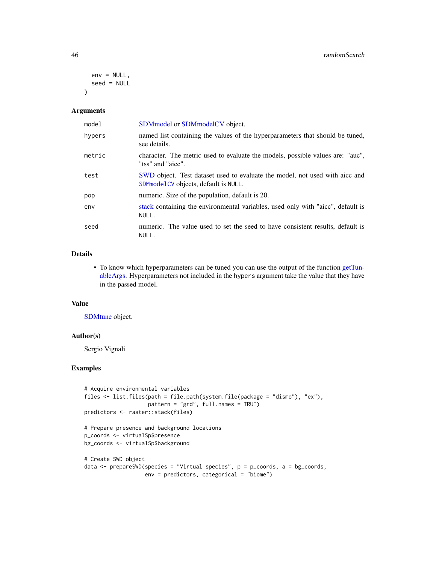```
env = NULL,seed = NULL
\lambda
```
#### Arguments

| model  | SDM model or SDM model CV object.                                                                                     |
|--------|-----------------------------------------------------------------------------------------------------------------------|
| hypers | named list containing the values of the hyperparameters that should be tuned,<br>see details.                         |
| metric | character. The metric used to evaluate the models, possible values are: "auc",<br>"tss" and "aicc".                   |
| test   | SWD object. Test dataset used to evaluate the model, not used with aicc and<br>SDM model CV objects, default is NULL. |
| pop    | numeric. Size of the population, default is 20.                                                                       |
| env    | stack containing the environmental variables, used only with "aicc", default is<br>NULL.                              |
| seed   | numeric. The value used to set the seed to have consistent results, default is<br>NULL.                               |

#### Details

• To know which hyperparameters can be tuned you can use the output of the function [getTun](#page-13-1)[ableArgs.](#page-13-1) Hyperparameters not included in the hypers argument take the value that they have in the passed model.

#### Value

[SDMtune](#page-51-2) object.

### Author(s)

Sergio Vignali

```
# Acquire environmental variables
files <- list.files(path = file.path(system.file(package = "dismo"), "ex"),
                   pattern = "grd", full.names = TRUE)
predictors <- raster::stack(files)
```

```
# Prepare presence and background locations
p_coords <- virtualSp$presence
bg_coords <- virtualSp$background
```

```
# Create SWD object
data <- prepareSWD(species = "Virtual species", p = p_coords, a = bg_coords,
                  env = predictors, categorical = "biome")
```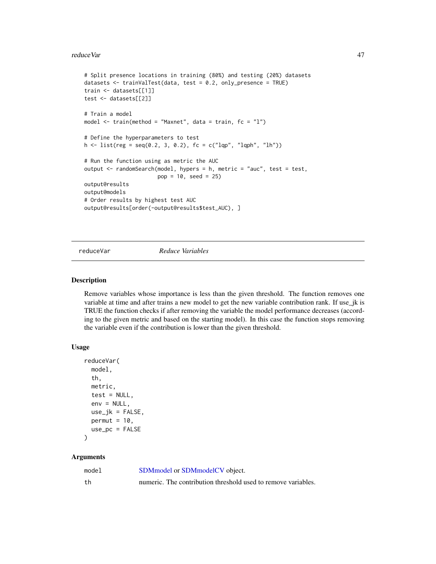#### <span id="page-46-0"></span>reduceVar and the state of the state of the state of the state of the state of the state of the state of the state of the state of the state of the state of the state of the state of the state of the state of the state of

```
# Split presence locations in training (80%) and testing (20%) datasets
datasets <- trainValTest(data, test = 0.2, only_presence = TRUE)
train <- datasets[[1]]
test <- datasets[[2]]
# Train a model
model \le train(method = "Maxnet", data = train, fc = "1")# Define the hyperparameters to test
h \leq 1ist(reg = seq(0.2, 3, 0.2), fc = c("lqp", "lqph", "lh"))
# Run the function using as metric the AUC
output <- randomSearch(model, hypers = h, metric = "auc", test = test,
                       pop = 10, seed = 25)output@results
output@models
# Order results by highest test AUC
output@results[order(-output@results$test_AUC), ]
```
reduceVar *Reduce Variables*

#### Description

Remove variables whose importance is less than the given threshold. The function removes one variable at time and after trains a new model to get the new variable contribution rank. If use\_jk is TRUE the function checks if after removing the variable the model performance decreases (according to the given metric and based on the starting model). In this case the function stops removing the variable even if the contribution is lower than the given threshold.

#### Usage

```
reduceVar(
 model,
  th,
 metric,
  test = NULL,env = NULL,use_jk = FALSE,permut = 10,
 use\_pc = FALSE)
```
### Arguments

| model | SDM model or SDM model CV object.                             |
|-------|---------------------------------------------------------------|
| th    | numeric. The contribution threshold used to remove variables. |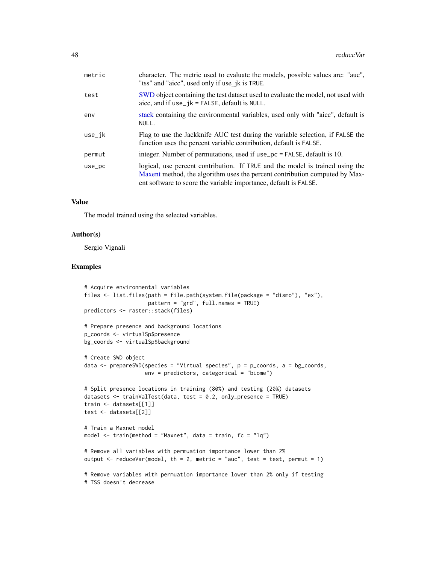<span id="page-47-0"></span>

| metric | character. The metric used to evaluate the models, possible values are: "auc",<br>"tss" and "aicc", used only if use_jk is TRUE.                                                                                                 |
|--------|----------------------------------------------------------------------------------------------------------------------------------------------------------------------------------------------------------------------------------|
| test   | SWD object containing the test dataset used to evaluate the model, not used with<br>aicc, and if $use_jk = FALSE$ , default is NULL.                                                                                             |
| env    | stack containing the environmental variables, used only with "aicc", default is<br>NULL.                                                                                                                                         |
| use_ik | Flag to use the Jackknife AUC test during the variable selection, if FALSE the<br>function uses the percent variable contribution, default is FALSE.                                                                             |
| permut | integer. Number of permutations, used if use_pc = FALSE, default is 10.                                                                                                                                                          |
| use_pc | logical, use percent contribution. If TRUE and the model is trained using the<br>Maxent method, the algorithm uses the percent contribution computed by Max-<br>ent software to score the variable importance, default is FALSE. |

### Value

The model trained using the selected variables.

### Author(s)

Sergio Vignali

```
# Acquire environmental variables
files <- list.files(path = file.path(system.file(package = "dismo"), "ex"),
                    pattern = "grd", full.names = TRUE)
predictors <- raster::stack(files)
# Prepare presence and background locations
p_coords <- virtualSp$presence
bg_coords <- virtualSp$background
# Create SWD object
data \leq prepareSWD(species = "Virtual species", p = p\_{\text{coordinates}}, a = bg_coords,
                   env = predictors, categorical = "biome")
# Split presence locations in training (80%) and testing (20%) datasets
datasets <- trainValTest(data, test = 0.2, only_presence = TRUE)
train <- datasets[[1]]
test <- datasets[[2]]
# Train a Maxnet model
model \le train(method = "Maxnet", data = train, fc = "lq")# Remove all variables with permuation importance lower than 2%
output \leq reduceVar(model, th = 2, metric = "auc", test = test, permut = 1)
# Remove variables with permuation importance lower than 2% only if testing
# TSS doesn't decrease
```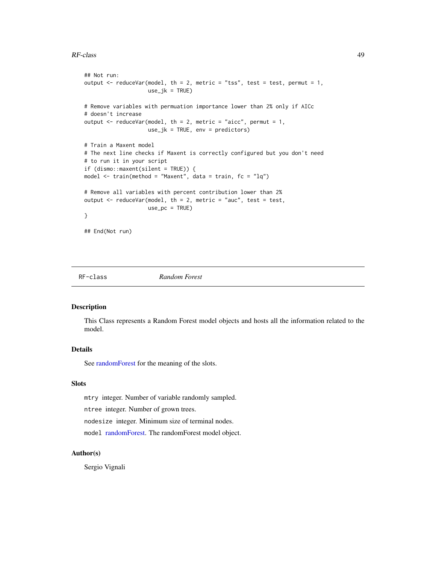#### <span id="page-48-0"></span>RF-class 49

```
## Not run:
output \leq reduceVar(model, th = 2, metric = "tss", test = test, permut = 1,
                    use_jk = TRUE)
# Remove variables with permuation importance lower than 2% only if AICc
# doesn't increase
output \leq reduceVar(model, th = 2, metric = "aicc", permut = 1,
                    use_jk = TRUE, env = predictors)
# Train a Maxent model
# The next line checks if Maxent is correctly configured but you don't need
# to run it in your script
if (dismo::maxent(silent = TRUE)) {
model <- train(method = "Maxent", data = train, fc = "lq")
# Remove all variables with percent contribution lower than 2%
output \leq reduceVar(model, th = 2, metric = "auc", test = test,
                    use\_pc = TRUE)
}
## End(Not run)
```
<span id="page-48-1"></span>

RF-class *Random Forest*

### Description

This Class represents a Random Forest model objects and hosts all the information related to the model.

### Details

See [randomForest](#page-0-0) for the meaning of the slots.

### Slots

mtry integer. Number of variable randomly sampled.

ntree integer. Number of grown trees.

nodesize integer. Minimum size of terminal nodes.

model [randomForest.](#page-0-0) The randomForest model object.

### Author(s)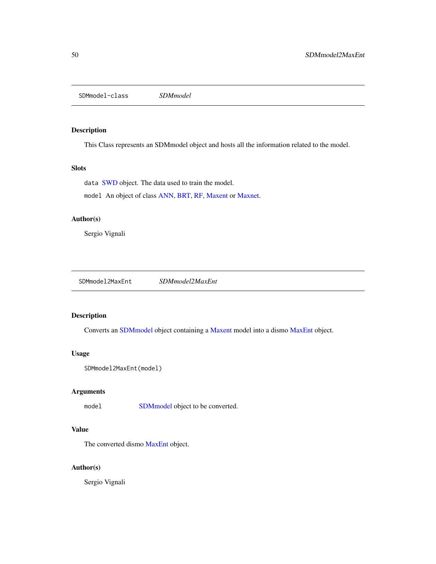<span id="page-49-1"></span><span id="page-49-0"></span>SDMmodel-class *SDMmodel*

### Description

This Class represents an SDMmodel object and hosts all the information related to the model.

### Slots

data [SWD](#page-51-1) object. The data used to train the model. model An object of class [ANN,](#page-5-2) [BRT,](#page-7-1) [RF,](#page-48-1) [Maxent](#page-16-2) or [Maxnet.](#page-19-1)

### Author(s)

Sergio Vignali

SDMmodel2MaxEnt *SDMmodel2MaxEnt*

### Description

Converts an [SDMmodel](#page-49-1) object containing a [Maxent](#page-16-2) model into a dismo [MaxEnt](#page-0-0) object.

### Usage

```
SDMmodel2MaxEnt(model)
```
### Arguments

model [SDMmodel](#page-49-1) object to be converted.

### Value

The converted dismo [MaxEnt](#page-0-0) object.

### Author(s)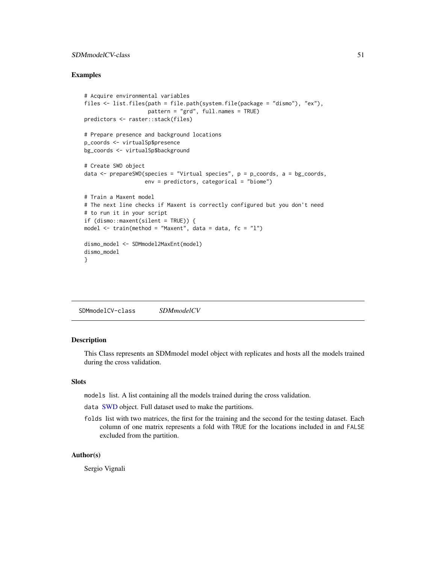### <span id="page-50-0"></span>SDMmodelCV-class 51

### Examples

```
# Acquire environmental variables
files <- list.files(path = file.path(system.file(package = "dismo"), "ex"),
                    pattern = "grd", full.names = TRUE)
predictors <- raster::stack(files)
# Prepare presence and background locations
p_coords <- virtualSp$presence
bg_coords <- virtualSp$background
# Create SWD object
data \leq prepareSWD(species = "Virtual species", p = p\_{\text{coordinates}}, a = bg_coords,
                   env = predictors, categorical = "biome")
# Train a Maxent model
# The next line checks if Maxent is correctly configured but you don't need
# to run it in your script
if (dismo::maxent(silent = TRUE)) {
model \le train(method = "Maxent", data = data, fc = "l")
dismo_model <- SDMmodel2MaxEnt(model)
dismo_model
}
```
<span id="page-50-1"></span>SDMmodelCV-class *SDMmodelCV*

#### Description

This Class represents an SDMmodel model object with replicates and hosts all the models trained during the cross validation.

#### **Slots**

models list. A list containing all the models trained during the cross validation.

data [SWD](#page-51-1) object. Full dataset used to make the partitions.

folds list with two matrices, the first for the training and the second for the testing dataset. Each column of one matrix represents a fold with TRUE for the locations included in and FALSE excluded from the partition.

### Author(s)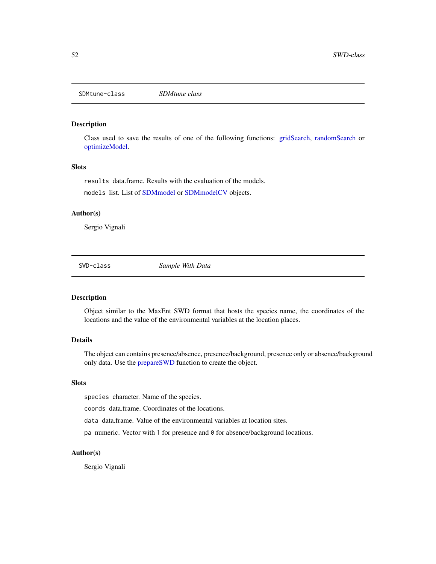<span id="page-51-2"></span><span id="page-51-0"></span>SDMtune-class *SDMtune class*

#### Description

Class used to save the results of one of the following functions: [gridSearch,](#page-14-1) [randomSearch](#page-44-1) or [optimizeModel.](#page-22-1)

#### **Slots**

results data.frame. Results with the evaluation of the models.

models list. List of [SDMmodel](#page-49-1) or [SDMmodelCV](#page-50-1) objects.

#### Author(s)

Sergio Vignali

<span id="page-51-1"></span>SWD-class *Sample With Data*

### Description

Object similar to the MaxEnt SWD format that hosts the species name, the coordinates of the locations and the value of the environmental variables at the location places.

#### Details

The object can contains presence/absence, presence/background, presence only or absence/background only data. Use the [prepareSWD](#page-42-1) function to create the object.

### Slots

species character. Name of the species.

coords data.frame. Coordinates of the locations.

data data.frame. Value of the environmental variables at location sites.

pa numeric. Vector with 1 for presence and 0 for absence/background locations.

#### Author(s)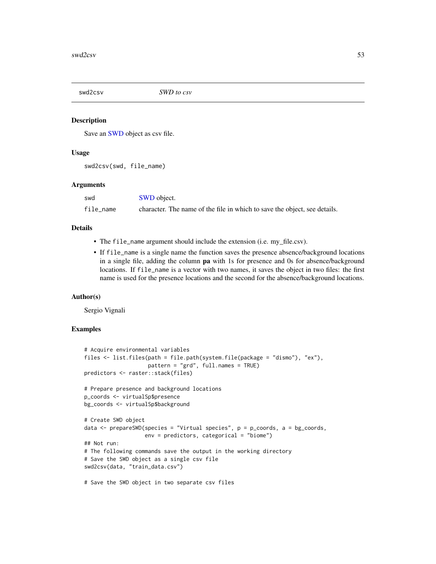<span id="page-52-0"></span>

#### Description

Save an [SWD](#page-51-1) object as csv file.

### Usage

swd2csv(swd, file\_name)

#### Arguments

| swd       | <b>SWD</b> object.                                                        |
|-----------|---------------------------------------------------------------------------|
| file name | character. The name of the file in which to save the object, see details. |

### Details

- The file\_name argument should include the extension (i.e. my\_file.csv).
- If file\_name is a single name the function saves the presence absence/background locations in a single file, adding the column pa with 1s for presence and 0s for absence/background locations. If file\_name is a vector with two names, it saves the object in two files: the first name is used for the presence locations and the second for the absence/background locations.

### Author(s)

Sergio Vignali

```
# Acquire environmental variables
files <- list.files(path = file.path(system.file(package = "dismo"), "ex"),
                    pattern = "grd", full.names = TRUE)
predictors <- raster::stack(files)
# Prepare presence and background locations
p_coords <- virtualSp$presence
bg_coords <- virtualSp$background
# Create SWD object
data \leq prepareSWD(species = "Virtual species", p = p\_{\text{coordinates}}, a = bg_coords,
                   env = predictors, categorical = "biome")
## Not run:
# The following commands save the output in the working directory
# Save the SWD object as a single csv file
swd2csv(data, "train_data.csv")
# Save the SWD object in two separate csv files
```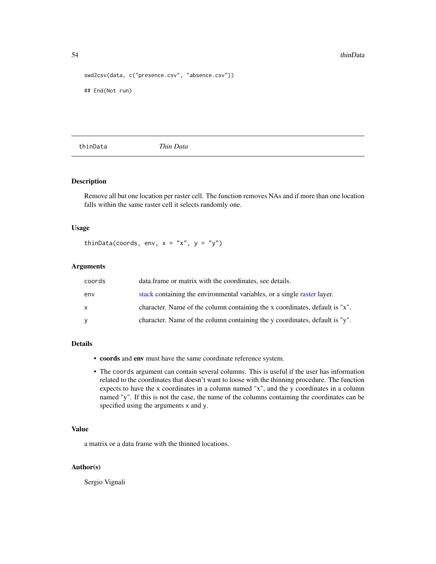```
swd2csv(data, c("presence.csv", "absence.csv"))
## End(Not run)
```
<span id="page-53-1"></span>thinData *Thin Data*

### Description

Remove all but one location per raster cell. The function removes NAs and if more than one location falls within the same raster cell it selects randomly one.

### Usage

thinData(coords, env,  $x = "x", y = "y")$ 

### Arguments

| coords | data. frame or matrix with the coordinates, see details.                    |
|--------|-----------------------------------------------------------------------------|
| env    | stack containing the environmental variables, or a single raster layer.     |
| X      | character. Name of the column containing the x coordinates, default is "x". |
| y      | character. Name of the column containing the y coordinates, default is "y". |

#### Details

- coords and env must have the same coordinate reference system.
- The coords argument can contain several columns. This is useful if the user has information related to the coordinates that doesn't want to loose with the thinning procedure. The function expects to have the x coordinates in a column named "x", and the y coordinates in a column named "y". If this is not the case, the name of the columns containing the coordinates can be specified using the arguments x and y.

### Value

a matrix or a data frame with the thinned locations.

### Author(s)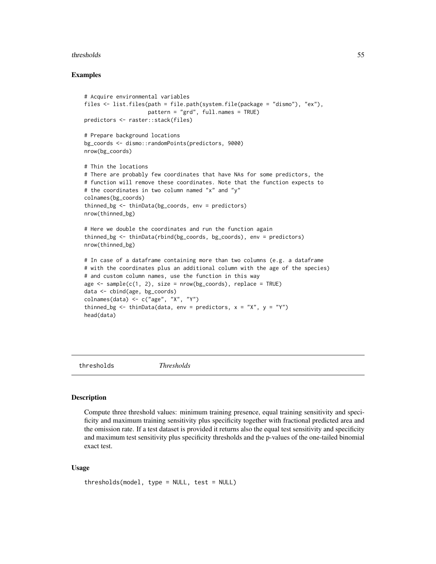#### <span id="page-54-0"></span>thresholds 55

### Examples

```
# Acquire environmental variables
files <- list.files(path = file.path(system.file(package = "dismo"), "ex"),
                    pattern = "grd", full.names = TRUE)
predictors <- raster::stack(files)
# Prepare background locations
bg_coords <- dismo::randomPoints(predictors, 9000)
nrow(bg_coords)
# Thin the locations
# There are probably few coordinates that have NAs for some predictors, the
# function will remove these coordinates. Note that the function expects to
# the coordinates in two column named "x" and "y"
colnames(bg_coords)
thinned_bg <- thinData(bg_coords, env = predictors)
nrow(thinned_bg)
# Here we double the coordinates and run the function again
thinned_bg <- thinData(rbind(bg_coords, bg_coords), env = predictors)
nrow(thinned_bg)
# In case of a dataframe containing more than two columns (e.g. a dataframe
# with the coordinates plus an additional column with the age of the species)
# and custom column names, use the function in this way
age \leq sample(c(1, 2), size = nrow(bg_coords), replace = TRUE)
data <- cbind(age, bg_coords)
colnames(data) <- c("age", "X", "Y")
thinned_bg <- thinData(data, env = predictors, x = "X", y = "Y")head(data)
```
thresholds *Thresholds*

#### Description

Compute three threshold values: minimum training presence, equal training sensitivity and specificity and maximum training sensitivity plus specificity together with fractional predicted area and the omission rate. If a test dataset is provided it returns also the equal test sensitivity and specificity and maximum test sensitivity plus specificity thresholds and the p-values of the one-tailed binomial exact test.

#### Usage

```
thresholds(model, type = NULL, test = NULL)
```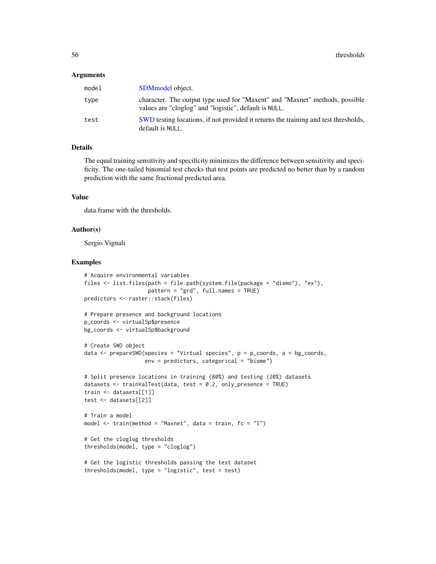#### <span id="page-55-0"></span>Arguments

| model | SDM model object.                                                                                                                    |
|-------|--------------------------------------------------------------------------------------------------------------------------------------|
| type  | character. The output type used for "Maxent" and "Maxnet" methods, possible<br>values are "cloglog" and "logistic", default is NULL. |
| test  | SWD testing locations, if not provided it returns the training and test thresholds,<br>default is NULL.                              |

### Details

The equal training sensitivity and specificity minimizes the difference between sensitivity and specificity. The one-tailed binomial test checks that test points are predicted no better than by a random prediction with the same fractional predicted area.

#### Value

data.frame with the thresholds.

#### Author(s)

Sergio Vignali

```
# Acquire environmental variables
files <- list.files(path = file.path(system.file(package = "dismo"), "ex"),
                    pattern = "grd", full.names = TRUE)
predictors <- raster::stack(files)
# Prepare presence and background locations
p_coords <- virtualSp$presence
bg_coords <- virtualSp$background
# Create SWD object
data \leq prepareSWD(species = "Virtual species", p = p\_{\text{coordinates}}, a = bg_coords,
                   env = predictors, categorical = "biome")
# Split presence locations in training (80%) and testing (20%) datasets
datasets <- trainValTest(data, test = 0.2, only_presence = TRUE)
train <- datasets[[1]]
test <- datasets[[2]]
# Train a model
model <- train(method = "Maxnet", data = train, fc = "l")
# Get the cloglog thresholds
thresholds(model, type = "cloglog")
# Get the logistic thresholds passing the test dataset
thresholds(model, type = "logistic", test = test)
```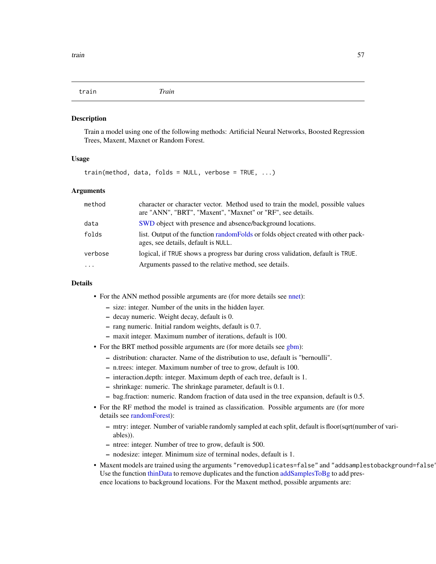<span id="page-56-0"></span>train *Train*

#### **Description**

Train a model using one of the following methods: Artificial Neural Networks, Boosted Regression Trees, Maxent, Maxnet or Random Forest.

### Usage

```
train(method, data, folds = NULL, verbose = TRUE, ...)
```
### Arguments

| method   | character or character vector. Method used to train the model, possible values<br>are "ANN", "BRT", "Maxent", "Maxnet" or "RF", see details. |
|----------|----------------------------------------------------------------------------------------------------------------------------------------------|
| data     | SWD object with presence and absence/background locations.                                                                                   |
| folds    | list. Output of the function random Folds or folds object created with other pack-<br>ages, see details, default is NULL.                    |
| verbose  | logical, if TRUE shows a progress bar during cross validation, default is TRUE.                                                              |
| $\cdots$ | Arguments passed to the relative method, see details.                                                                                        |

### Details

- For the ANN method possible arguments are (for more details see [nnet\)](#page-0-0):
	- size: integer. Number of the units in the hidden layer.
	- decay numeric. Weight decay, default is 0.
	- rang numeric. Initial random weights, default is 0.7.
	- maxit integer. Maximum number of iterations, default is 100.
- For the BRT method possible arguments are (for more details see [gbm\)](#page-0-0):
	- distribution: character. Name of the distribution to use, default is "bernoulli".
	- n.trees: integer. Maximum number of tree to grow, default is 100.
	- interaction.depth: integer. Maximum depth of each tree, default is 1.
	- shrinkage: numeric. The shrinkage parameter, default is 0.1.
	- bag.fraction: numeric. Random fraction of data used in the tree expansion, default is 0.5.
- For the RF method the model is trained as classification. Possible arguments are (for more details see [randomForest\)](#page-0-0):
	- mtry: integer. Number of variable randomly sampled at each split, default is floor(sqrt(number of variables)).
	- ntree: integer. Number of tree to grow, default is 500.
	- nodesize: integer. Minimum size of terminal nodes, default is 1.
- Maxent models are trained using the arguments "removeduplicates=false" and "addsamplestobackground=false Use the function [thinData](#page-53-1) to remove duplicates and the function [addSamplesToBg](#page-2-1) to add presence locations to background locations. For the Maxent method, possible arguments are: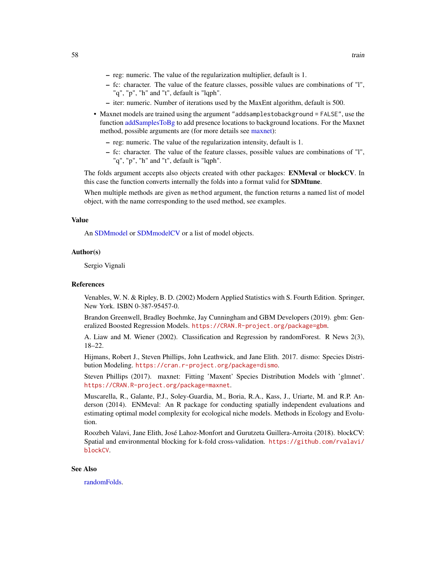- <span id="page-57-0"></span>– reg: numeric. The value of the regularization multiplier, default is 1.
- fc: character. The value of the feature classes, possible values are combinations of "l", "q", "p", "h" and "t", default is "lqph".
- iter: numeric. Number of iterations used by the MaxEnt algorithm, default is 500.
- Maxnet models are trained using the argument "addsamplestobackground = FALSE", use the function [addSamplesToBg](#page-2-1) to add presence locations to background locations. For the Maxnet method, possible arguments are (for more details see [maxnet\)](#page-0-0):
	- reg: numeric. The value of the regularization intensity, default is 1.
	- fc: character. The value of the feature classes, possible values are combinations of "l", "q", "p", "h" and "t", default is "lqph".

The folds argument accepts also objects created with other packages: ENMeval or blockCV. In this case the function converts internally the folds into a format valid for **SDMtune**.

When multiple methods are given as method argument, the function returns a named list of model object, with the name corresponding to the used method, see examples.

#### Value

An [SDMmodel](#page-49-1) or [SDMmodelCV](#page-50-1) or a list of model objects.

#### Author(s)

Sergio Vignali

#### References

Venables, W. N. & Ripley, B. D. (2002) Modern Applied Statistics with S. Fourth Edition. Springer, New York. ISBN 0-387-95457-0.

Brandon Greenwell, Bradley Boehmke, Jay Cunningham and GBM Developers (2019). gbm: Generalized Boosted Regression Models. <https://CRAN.R-project.org/package=gbm>.

A. Liaw and M. Wiener (2002). Classification and Regression by randomForest. R News 2(3), 18–22.

Hijmans, Robert J., Steven Phillips, John Leathwick, and Jane Elith. 2017. dismo: Species Distribution Modeling. <https://cran.r-project.org/package=dismo>.

Steven Phillips (2017). maxnet: Fitting 'Maxent' Species Distribution Models with 'glmnet'. <https://CRAN.R-project.org/package=maxnet>.

Muscarella, R., Galante, P.J., Soley-Guardia, M., Boria, R.A., Kass, J., Uriarte, M. and R.P. Anderson (2014). ENMeval: An R package for conducting spatially independent evaluations and estimating optimal model complexity for ecological niche models. Methods in Ecology and Evolution.

Roozbeh Valavi, Jane Elith, José Lahoz-Monfort and Gurutzeta Guillera-Arroita (2018). blockCV: Spatial and environmental blocking for k-fold cross-validation. [https://github.com/rvalavi/](https://github.com/rvalavi/blockCV) [blockCV](https://github.com/rvalavi/blockCV).

#### See Also

[randomFolds.](#page-43-1)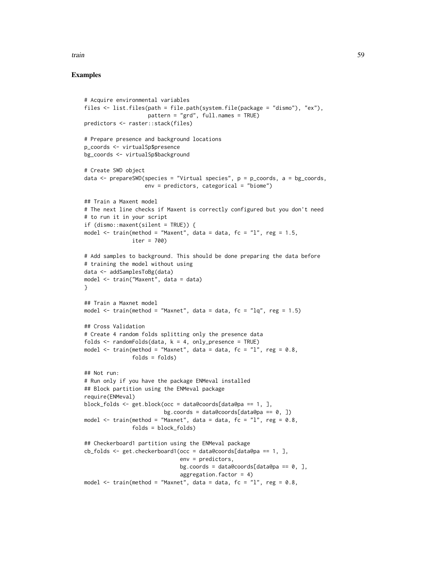#### train 59

```
# Acquire environmental variables
files <- list.files(path = file.path(system.file(package = "dismo"), "ex"),
                    pattern = "grd", full.names = TRUE)
predictors <- raster::stack(files)
# Prepare presence and background locations
p_coords <- virtualSp$presence
bg_coords <- virtualSp$background
# Create SWD object
data \leq prepareSWD(species = "Virtual species", p = p\text{-}coords, a = bg_coords,
                   env = predictors, categorical = "biome")
## Train a Maxent model
# The next line checks if Maxent is correctly configured but you don't need
# to run it in your script
if (dismo::maxent(silent = TRUE)) {
model \le train(method = "Maxent", data = data, fc = "l", reg = 1.5,
               iter = 700)
# Add samples to background. This should be done preparing the data before
# training the model without using
data <- addSamplesToBg(data)
model <- train("Maxent", data = data)
}
## Train a Maxnet model
model \le train(method = "Maxnet", data = data, fc = "lq", reg = 1.5)
## Cross Validation
# Create 4 random folds splitting only the presence data
folds \le randomFolds(data, k = 4, only_presence = TRUE)
model \le train(method = "Maxnet", data = data, fc = "l", reg = 0.8,
               folds = folds)
## Not run:
# Run only if you have the package ENMeval installed
## Block partition using the ENMeval package
require(ENMeval)
block_folds <- get.block(occ = data@coords[data@pa == 1, ],
                         bg.coords = data@coords[data@pa == 0, ])
model \le train(method = "Maxnet", data = data, fc = "l", reg = 0.8,
               folds = block_folds)
## Checkerboard1 partition using the ENMeval package
cb_folds \leftarrow get. checkerboard1(occ = data@coordinates[data@pa == 1, ],env = predictors,
                              bg.coords = data@coords[data@pa == 0, ],
                              aggregation.factor = 4)
model \le train(method = "Maxnet", data = data, fc = "l", reg = 0.8,
```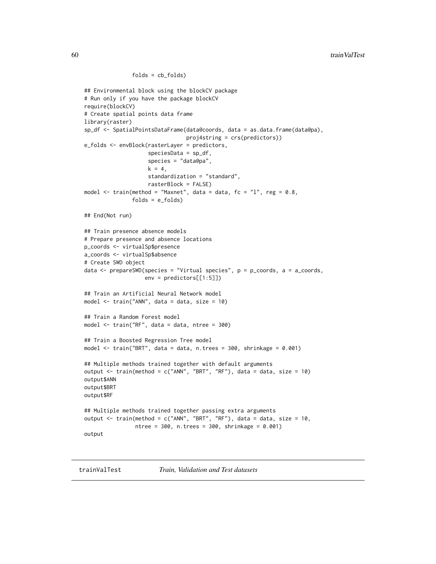```
folds = cb_folds)
## Environmental block using the blockCV package
# Run only if you have the package blockCV
require(blockCV)
# Create spatial points data frame
library(raster)
sp_df <- SpatialPointsDataFrame(data@coords, data = as.data.frame(data@pa),
                                proj4string = crs(predictors))
e_folds <- envBlock(rasterLayer = predictors,
                    speciesData = sp_df,
                    species = "data@pa",
                    k = 4,
                    standardization = "standard",
                    rasterBlock = FALSE)
model \le train(method = "Maxnet", data = data, fc = "l", reg = 0.8,
               folds = e_folds## End(Not run)
## Train presence absence models
# Prepare presence and absence locations
p_coords <- virtualSp$presence
a_coords <- virtualSp$absence
# Create SWD object
data <- prepareSWD(species = "Virtual species", p = p_coords, a = a_coords,
                   env = predictors[[1:5]])
## Train an Artificial Neural Network model
model <- train("ANN", data = data, size = 10)
## Train a Random Forest model
model <- train("RF", data = data, ntree = 300)
## Train a Boosted Regression Tree model
model <- train("BRT", data = data, n.trees = 300, shrinkage = 0.001)
## Multiple methods trained together with default arguments
output \le train(method = c("ANN", "BRT", "RF"), data = data, size = 10)
output$ANN
output$BRT
output$RF
## Multiple methods trained together passing extra arguments
output <- train(method = c("ANN", "BRT", "RF"), data = data, size = 10,
                ntree = 300, n.trees = 300, shrinkage = 0.001)
output
```
trainValTest *Train, Validation and Test datasets*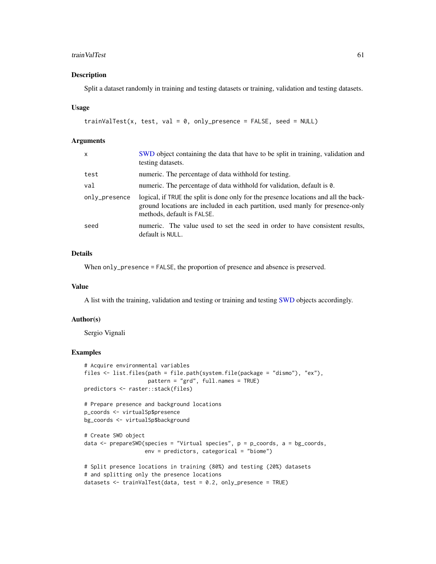#### <span id="page-60-0"></span>trainValTest 61

#### Description

Split a dataset randomly in training and testing datasets or training, validation and testing datasets.

#### Usage

```
trainValTest(x, test, val = 0, only_presence = FALSE, seed = NULL)
```
#### Arguments

| SWD object containing the data that have to be split in training, validation and<br>testing datasets.                                                                                               |
|-----------------------------------------------------------------------------------------------------------------------------------------------------------------------------------------------------|
| numeric. The percentage of data withhold for testing.                                                                                                                                               |
| numeric. The percentage of data withhold for validation, default is 0.                                                                                                                              |
| logical, if TRUE the split is done only for the presence locations and all the back-<br>ground locations are included in each partition, used manly for presence-only<br>methods, default is FALSE. |
| numeric. The value used to set the seed in order to have consistent results,<br>default is NULL.                                                                                                    |
|                                                                                                                                                                                                     |

#### Details

When only\_presence = FALSE, the proportion of presence and absence is preserved.

### Value

A list with the training, validation and testing or training and testing [SWD](#page-51-1) objects accordingly.

#### Author(s)

Sergio Vignali

```
# Acquire environmental variables
files <- list.files(path = file.path(system.file(package = "dismo"), "ex"),
                    pattern = "grd", full.names = TRUE)
predictors <- raster::stack(files)
# Prepare presence and background locations
p_coords <- virtualSp$presence
bg_coords <- virtualSp$background
# Create SWD object
data \leq prepareSWD(species = "Virtual species", p = p\_{\text{coordinates}}, a = bg_coords,
                   env = predictors, categorical = "biome")
# Split presence locations in training (80%) and testing (20%) datasets
# and splitting only the presence locations
```

```
datasets <- trainValTest(data, test = 0.2, only_presence = TRUE)
```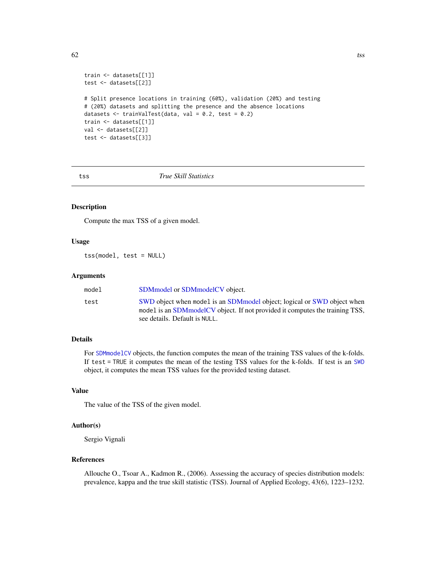```
train <- datasets[[1]]
test <- datasets[[2]]
# Split presence locations in training (60%), validation (20%) and testing
# (20%) datasets and splitting the presence and the absence locations
datasets \le trainValTest(data, val = 0.2, test = 0.2)
train <- datasets[[1]]
val <- datasets[[2]]
test <- datasets[[3]]
```
<span id="page-61-1"></span>

#### tss *True Skill Statistics*

### Description

Compute the max TSS of a given model.

### Usage

tss(model, test = NULL)

### Arguments

| model | SDM model or SDM model CV object.                                                                                                                                                           |
|-------|---------------------------------------------------------------------------------------------------------------------------------------------------------------------------------------------|
| test  | SWD object when model is an SDM model object; logical or SWD object when<br>model is an SDM model CV object. If not provided it computes the training TSS,<br>see details. Default is NULL. |

#### Details

For [SDMmodelCV](#page-50-1) objects, the function computes the mean of the training TSS values of the k-folds. If test = TRUE it computes the mean of the testing TSS values for the k-folds. If test is an [SWD](#page-51-1) object, it computes the mean TSS values for the provided testing dataset.

#### Value

The value of the TSS of the given model.

### Author(s)

Sergio Vignali

### References

Allouche O., Tsoar A., Kadmon R., (2006). Assessing the accuracy of species distribution models: prevalence, kappa and the true skill statistic (TSS). Journal of Applied Ecology, 43(6), 1223–1232.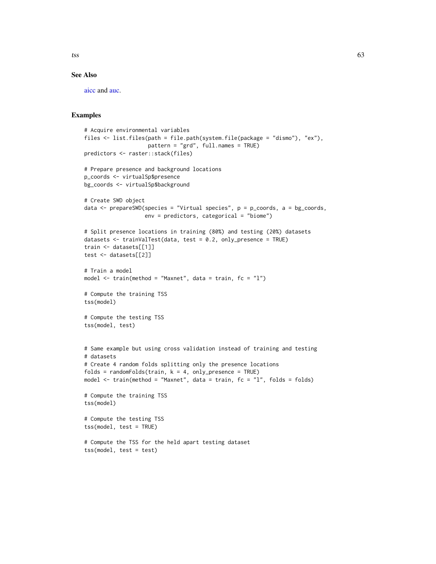<span id="page-62-0"></span>

#### See Also

[aicc](#page-3-1) and [auc.](#page-5-1)

```
# Acquire environmental variables
files <- list.files(path = file.path(system.file(package = "dismo"), "ex"),
                    pattern = "grd", full.names = TRUE)
predictors <- raster::stack(files)
# Prepare presence and background locations
p_coords <- virtualSp$presence
bg_coords <- virtualSp$background
# Create SWD object
data \leq prepareSWD(species = "Virtual species", p = p\text{-}coords, a = bg_coords,
                   env = predictors, categorical = "biome")
# Split presence locations in training (80%) and testing (20%) datasets
datasets <- trainValTest(data, test = 0.2, only_presence = TRUE)
train <- datasets[[1]]
test <- datasets[[2]]
# Train a model
model \le train(method = "Maxnet", data = train, fc = "l")
# Compute the training TSS
tss(model)
# Compute the testing TSS
tss(model, test)
# Same example but using cross validation instead of training and testing
# datasets
# Create 4 random folds splitting only the presence locations
folds = randomFolds(train, k = 4, only_presence = TRUE)
model <- train(method = "Maxnet", data = train, fc = "l", folds = folds)
# Compute the training TSS
tss(model)
# Compute the testing TSS
tss(model, test = TRUE)
# Compute the TSS for the held apart testing dataset
tss(model, test = test)
```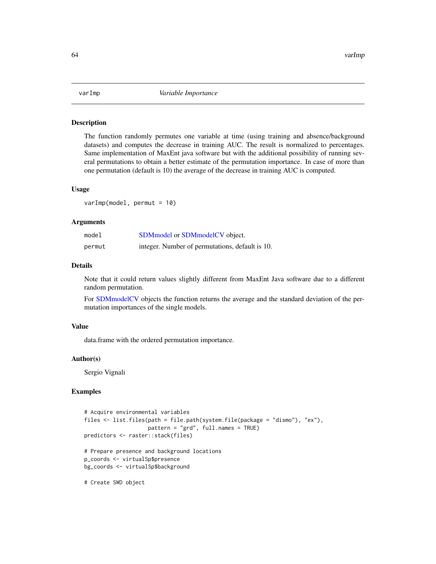<span id="page-63-0"></span>

#### Description

The function randomly permutes one variable at time (using training and absence/background datasets) and computes the decrease in training AUC. The result is normalized to percentages. Same implementation of MaxEnt java software but with the additional possibility of running several permutations to obtain a better estimate of the permutation importance. In case of more than one permutation (default is 10) the average of the decrease in training AUC is computed.

#### Usage

varImp(model, permut = 10)

#### Arguments

| model  | SDM model or SDM model CV object.               |
|--------|-------------------------------------------------|
| permut | integer. Number of permutations, default is 10. |

#### Details

Note that it could return values slightly different from MaxEnt Java software due to a different random permutation.

For [SDMmodelCV](#page-50-1) objects the function returns the average and the standard deviation of the permutation importances of the single models.

#### Value

data.frame with the ordered permutation importance.

#### Author(s)

Sergio Vignali

### Examples

```
# Acquire environmental variables
files <- list.files(path = file.path(system.file(package = "dismo"), "ex"),
                    pattern = "grd", full.names = TRUE)
predictors <- raster::stack(files)
# Prepare presence and background locations
p_coords <- virtualSp$presence
bg_coords <- virtualSp$background
```
# Create SWD object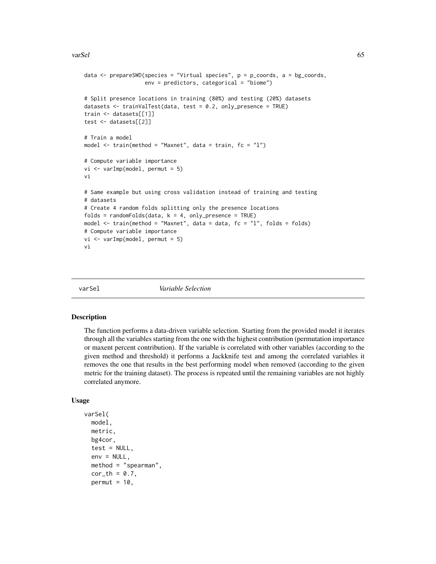#### <span id="page-64-0"></span>varSel 65

```
data <- prepareSWD(species = "Virtual species", p = p_coords, a = bg_coords,
                   env = predictors, categorical = "biome")
# Split presence locations in training (80%) and testing (20%) datasets
datasets <- trainValTest(data, test = 0.2, only_presence = TRUE)
train <- datasets[[1]]
test <- datasets[[2]]
# Train a model
model \le train(method = "Maxnet", data = train, fc = "l")
# Compute variable importance
vi <- varImp(model, permut = 5)
vi
# Same example but using cross validation instead of training and testing
# datasets
# Create 4 random folds splitting only the presence locations
folds = randomFolds(data, k = 4, only\_presence = TRUE)model \le train(method = "Maxnet", data = data, fc = "l", folds = folds)
# Compute variable importance
vi <- varImp(model, permut = 5)
vi
```
varSel *Variable Selection*

#### Description

The function performs a data-driven variable selection. Starting from the provided model it iterates through all the variables starting from the one with the highest contribution (permutation importance or maxent percent contribution). If the variable is correlated with other variables (according to the given method and threshold) it performs a Jackknife test and among the correlated variables it removes the one that results in the best performing model when removed (according to the given metric for the training dataset). The process is repeated until the remaining variables are not highly correlated anymore.

#### Usage

```
varSel(
  model,
  metric,
  bg4cor,
  test = NULL,
  env = NULL,method = "spearman",
  cor_th = 0.7,
  permut = 10,
```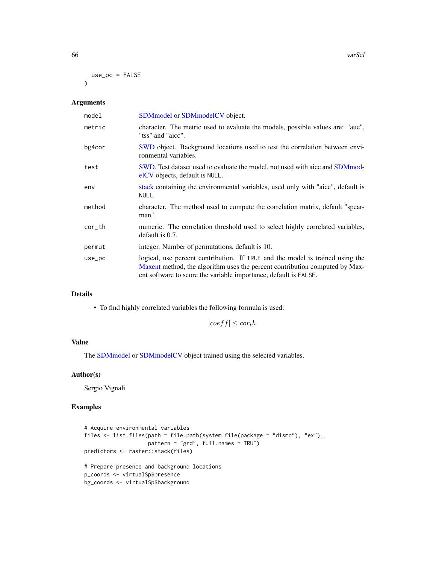66 varSel

```
use_pc = FALSE
\lambda
```
### Arguments

| SDM model or SDM model CV object.                                                                                                                                                                                                |
|----------------------------------------------------------------------------------------------------------------------------------------------------------------------------------------------------------------------------------|
| character. The metric used to evaluate the models, possible values are: "auc",<br>"tss" and "aicc".                                                                                                                              |
| SWD object. Background locations used to test the correlation between envi-<br>ronmental variables.                                                                                                                              |
| SWD. Test dataset used to evaluate the model, not used with aicc and SDM mod-<br>elCV objects, default is NULL.                                                                                                                  |
| stack containing the environmental variables, used only with "aicc", default is<br>NULL.                                                                                                                                         |
| character. The method used to compute the correlation matrix, default "spear-<br>man".                                                                                                                                           |
| numeric. The correlation threshold used to select highly correlated variables,<br>$default$ is $0.7$ .                                                                                                                           |
| integer. Number of permutations, default is 10.                                                                                                                                                                                  |
| logical, use percent contribution. If TRUE and the model is trained using the<br>Maxent method, the algorithm uses the percent contribution computed by Max-<br>ent software to score the variable importance, default is FALSE. |
|                                                                                                                                                                                                                                  |

### Details

• To find highly correlated variables the following formula is used:

 $|coeff| \leq cor<sub>t</sub>h$ 

### Value

The [SDMmodel](#page-49-1) or [SDMmodelCV](#page-50-1) object trained using the selected variables.

### Author(s)

Sergio Vignali

```
# Acquire environmental variables
files <- list.files(path = file.path(system.file(package = "dismo"), "ex"),
                   pattern = "grd", full.names = TRUE)
predictors <- raster::stack(files)
# Prepare presence and background locations
p_coords <- virtualSp$presence
bg_coords <- virtualSp$background
```
<span id="page-65-0"></span>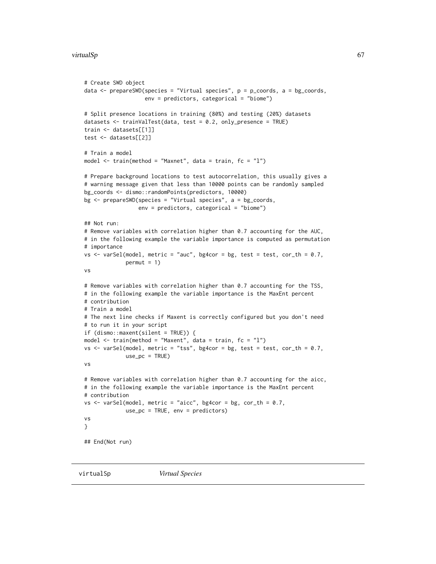```
# Create SWD object
data \leq prepareSWD(species = "Virtual species", p = p_coords, a = bg_coords,
                   env = predictors, categorical = "biome")
# Split presence locations in training (80%) and testing (20%) datasets
datasets <- trainValTest(data, test = 0.2, only_presence = TRUE)
train <- datasets[[1]]
test <- datasets[[2]]
# Train a model
model \le train(method = "Maxnet", data = train, fc = "l")
# Prepare background locations to test autocorrelation, this usually gives a
# warning message given that less than 10000 points can be randomly sampled
bg_coords <- dismo::randomPoints(predictors, 10000)
bg <- prepareSWD(species = "Virtual species", a = bg_coords,
                 env = predictors, categorical = "biome")
## Not run:
# Remove variables with correlation higher than 0.7 accounting for the AUC,
# in the following example the variable importance is computed as permutation
# importance
vs <- varSel(model, metric = "auc", bg4cor = bg, test = test, cor_th = 0.7,
             permut = 1)vs
# Remove variables with correlation higher than 0.7 accounting for the TSS,
# in the following example the variable importance is the MaxEnt percent
# contribution
# Train a model
# The next line checks if Maxent is correctly configured but you don't need
# to run it in your script
if (dismo::maxent(silent = TRUE)) {
model \le train(method = "Maxent", data = train, fc = "l")
vs <- varSel(model, metric = "tss", bg4cor = bg, test = test, cor_th = 0.7,
             use_pc = TRUE)
vs
# Remove variables with correlation higher than 0.7 accounting for the aicc,
# in the following example the variable importance is the MaxEnt percent
# contribution
vs \le varSel(model, metric = "aicc", bg4cor = bg, cor_th = 0.7,
             use_pc = TRUE, env = predictors)
vs
}
## End(Not run)
```
virtualSp *Virtual Species*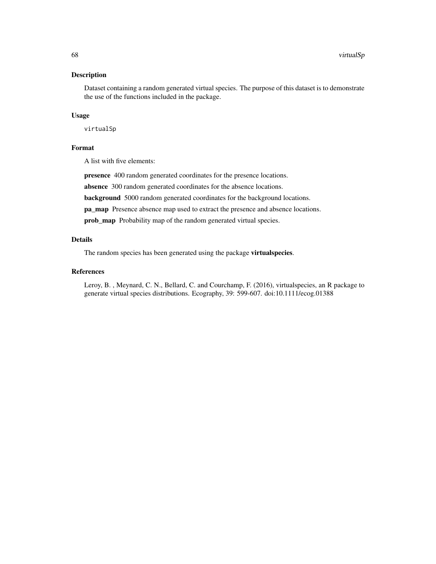### <span id="page-67-0"></span>Description

Dataset containing a random generated virtual species. The purpose of this dataset is to demonstrate the use of the functions included in the package.

#### Usage

virtualSp

### Format

A list with five elements:

presence 400 random generated coordinates for the presence locations.

absence 300 random generated coordinates for the absence locations.

background 5000 random generated coordinates for the background locations.

pa\_map Presence absence map used to extract the presence and absence locations.

prob\_map Probability map of the random generated virtual species.

### Details

The random species has been generated using the package virtualspecies.

### References

Leroy, B. , Meynard, C. N., Bellard, C. and Courchamp, F. (2016), virtualspecies, an R package to generate virtual species distributions. Ecography, 39: 599-607. doi:10.1111/ecog.01388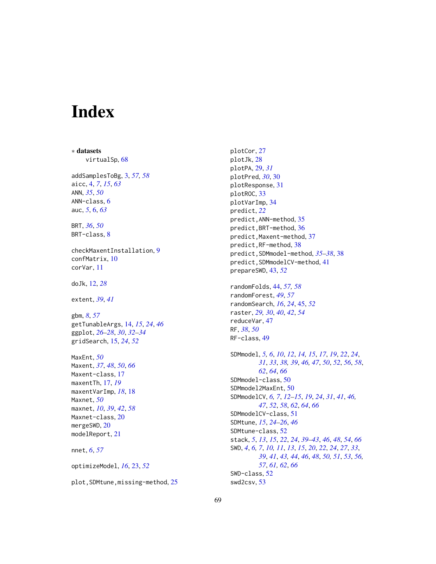# <span id="page-68-0"></span>**Index**

∗ datasets virtualSp, [68](#page-67-0) addSamplesToBg, [3,](#page-2-0) *[57,](#page-56-0) [58](#page-57-0)* aicc, [4,](#page-3-0) *[7](#page-6-0)*, *[15](#page-14-0)*, *[63](#page-62-0)* ANN, *[35](#page-34-0)*, *[50](#page-49-0)* ANN-class, [6](#page-5-0) auc, *[5](#page-4-0)*, [6,](#page-5-0) *[63](#page-62-0)* BRT, *[36](#page-35-0)*, *[50](#page-49-0)* BRT-class, [8](#page-7-0) checkMaxentInstallation, [9](#page-8-0) confMatrix, [10](#page-9-0) corVar, [11](#page-10-0) doJk, [12,](#page-11-0) *[28](#page-27-0)* extent, *[39](#page-38-0)*, *[41](#page-40-0)* gbm, *[8](#page-7-0)*, *[57](#page-56-0)* getTunableArgs, [14,](#page-13-0) *[15](#page-14-0)*, *[24](#page-23-0)*, *[46](#page-45-0)* ggplot, *[26](#page-25-0)[–28](#page-27-0)*, *[30](#page-29-0)*, *[32](#page-31-0)[–34](#page-33-0)* gridSearch, [15,](#page-14-0) *[24](#page-23-0)*, *[52](#page-51-0)* MaxEnt, *[50](#page-49-0)* Maxent, *[37](#page-36-0)*, *[48](#page-47-0)*, *[50](#page-49-0)*, *[66](#page-65-0)* Maxent-class, [17](#page-16-0) maxentTh, [17,](#page-16-0) *[19](#page-18-0)* maxentVarImp, *[18](#page-17-0)*, [18](#page-17-0) Maxnet, *[50](#page-49-0)* maxnet, *[10](#page-9-0)*, *[39](#page-38-0)*, *[42](#page-41-0)*, *[58](#page-57-0)* Maxnet-class, [20](#page-19-0) mergeSWD, [20](#page-19-0) modelReport, [21](#page-20-0) nnet, *[6](#page-5-0)*, *[57](#page-56-0)* optimizeModel, *[16](#page-15-0)*, [23,](#page-22-0) *[52](#page-51-0)* plot,SDMtune,missing-method, [25](#page-24-0) plotCor, [27](#page-26-0) plotJk, [28](#page-27-0) plotPA, [29,](#page-28-0) *[31](#page-30-0)* plotPred, *[30](#page-29-0)*, [30](#page-29-0) plotResponse, [31](#page-30-0) plotROC, [33](#page-32-0) plotVarImp, [34](#page-33-0) predict, *[22](#page-21-0)* predict,ANN-method, [35](#page-34-0) predict,BRT-method, [36](#page-35-0) predict, Maxent-method, [37](#page-36-0) predict,RF-method, [38](#page-37-0) predict,SDMmodel-method, *[35](#page-34-0)[–38](#page-37-0)*, [38](#page-37-0) predict, SDMmodelCV-method, [41](#page-40-0) prepareSWD, [43,](#page-42-0) *[52](#page-51-0)* randomFolds, [44,](#page-43-0) *[57,](#page-56-0) [58](#page-57-0)* randomForest, *[49](#page-48-0)*, *[57](#page-56-0)* randomSearch, *[16](#page-15-0)*, *[24](#page-23-0)*, [45,](#page-44-0) *[52](#page-51-0)* raster, *[29,](#page-28-0) [30](#page-29-0)*, *[40](#page-39-0)*, *[42](#page-41-0)*, *[54](#page-53-0)* reduceVar, [47](#page-46-0) RF, *[38](#page-37-0)*, *[50](#page-49-0)* RF-class, [49](#page-48-0) SDMmodel, *[5,](#page-4-0) [6](#page-5-0)*, *[10](#page-9-0)*, *[12](#page-11-0)*, *[14,](#page-13-0) [15](#page-14-0)*, *[17](#page-16-0)*, *[19](#page-18-0)*, *[22](#page-21-0)*, *[24](#page-23-0)*, *[31](#page-30-0)*, *[33](#page-32-0)*, *[38,](#page-37-0) [39](#page-38-0)*, *[46,](#page-45-0) [47](#page-46-0)*, *[50](#page-49-0)*, *[52](#page-51-0)*, *[56](#page-55-0)*, *[58](#page-57-0)*, *[62](#page-61-0)*, *[64](#page-63-0)*, *[66](#page-65-0)* SDMmodel-class, [50](#page-49-0) SDMmodel2MaxEnt, [50](#page-49-0) SDMmodelCV, *[6,](#page-5-0) [7](#page-6-0)*, *[12](#page-11-0)[–15](#page-14-0)*, *[19](#page-18-0)*, *[24](#page-23-0)*, *[31](#page-30-0)*, *[41](#page-40-0)*, *[46,](#page-45-0) [47](#page-46-0)*, *[52](#page-51-0)*, *[58](#page-57-0)*, *[62](#page-61-0)*, *[64](#page-63-0)*, *[66](#page-65-0)* SDMmodelCV-class, [51](#page-50-0) SDMtune, *[15](#page-14-0)*, *[24](#page-23-0)[–26](#page-25-0)*, *[46](#page-45-0)* SDMtune-class, [52](#page-51-0) stack, *[5](#page-4-0)*, *[13](#page-12-0)*, *[15](#page-14-0)*, *[22](#page-21-0)*, *[24](#page-23-0)*, *[39](#page-38-0)[–43](#page-42-0)*, *[46](#page-45-0)*, *[48](#page-47-0)*, *[54](#page-53-0)*, *[66](#page-65-0)* SWD, *[4](#page-3-0)*, *[6,](#page-5-0) [7](#page-6-0)*, *[10,](#page-9-0) [11](#page-10-0)*, *[13](#page-12-0)*, *[15](#page-14-0)*, *[20](#page-19-0)*, *[22](#page-21-0)*, *[24](#page-23-0)*, *[27](#page-26-0)*, *[33](#page-32-0)*, *[39](#page-38-0)*, *[41](#page-40-0)*, *[43,](#page-42-0) [44](#page-43-0)*, *[46](#page-45-0)*, *[48](#page-47-0)*, *[50,](#page-49-0) [51](#page-50-0)*, *[53](#page-52-0)*, *[56,](#page-55-0) [57](#page-56-0)*, *[61,](#page-60-0) [62](#page-61-0)*, *[66](#page-65-0)* SWD-class, [52](#page-51-0) swd2csv, [53](#page-52-0)